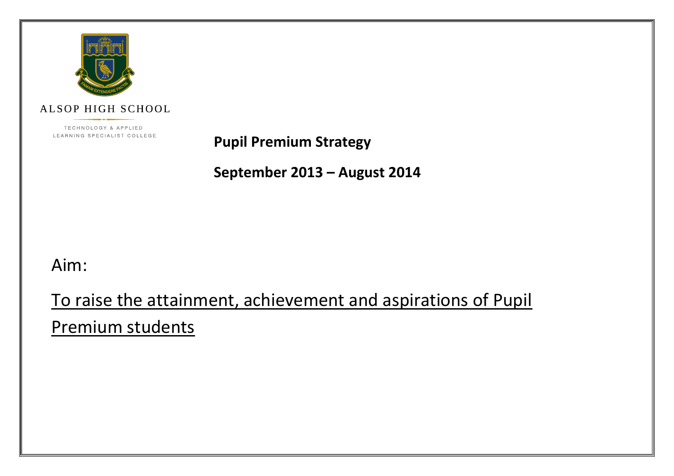

ALSOP HIGH SCHOOL

TECHNOLOGY & APPLIED LEARNING SPECIALIST COLLEGE

**Pupil Premium Strategy**

**September 2013 – August 2014**

Aim:

To raise the attainment, achievement and aspirations of Pupil

Premium students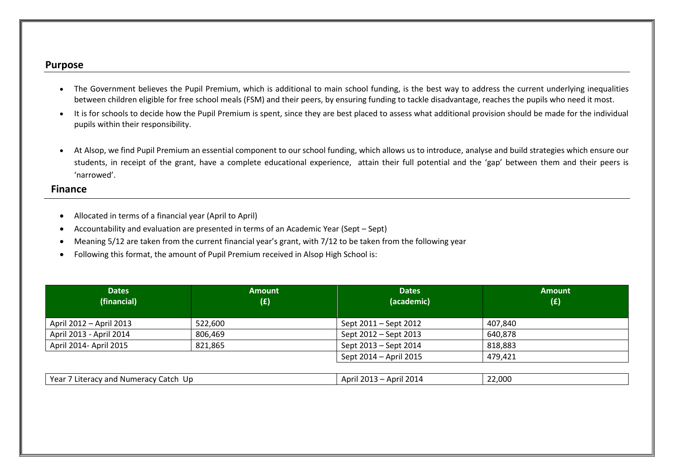# **Purpose**

- The Government believes the Pupil Premium, which is additional to main school funding, is the best way to address the current underlying inequalities between children eligible for free school meals (FSM) and their peers, by ensuring funding to tackle disadvantage, reaches the pupils who need it most.
- It is for schools to decide how the Pupil Premium is spent, since they are best placed to assess what additional provision should be made for the individual pupils within their responsibility.
- At Alsop, we find Pupil Premium an essential component to our school funding, which allows us to introduce, analyse and build strategies which ensure our students, in receipt of the grant, have a complete educational experience, attain their full potential and the 'gap' between them and their peers is 'narrowed'.

# **Finance**

- Allocated in terms of a financial year (April to April)
- Accountability and evaluation are presented in terms of an Academic Year (Sept Sept)
- Meaning 5/12 are taken from the current financial year's grant, with 7/12 to be taken from the following year
- Following this format, the amount of Pupil Premium received in Alsop High School is:

| <b>Dates</b><br>(financial) | <b>Amount</b><br>(E) | <b>Dates</b><br>(academic) | <b>Amount</b><br>(E) |
|-----------------------------|----------------------|----------------------------|----------------------|
| April 2012 – April 2013     | 522,600              | Sept 2011 – Sept 2012      | 407,840              |
| April 2013 - April 2014     | 806,469              | Sept 2012 – Sept 2013      | 640,878              |
| April 2014- April 2015      | 821,865              | Sept 2013 – Sept 2014      | 818,883              |
|                             |                      | Sept 2014 – April 2015     | 479,421              |

| Year.<br>$\neg$ true<br>Numeracy<br>Up<br><u>~</u><br>and<br>Liter<br>Jaluh -<br>'au | ົາດາ<br><u>_</u><br>∴ Anr‼<br>$\mathbf{A}$<br>ZU I'<br><br>201 | 2,000.<br>$\sim$ |
|--------------------------------------------------------------------------------------|----------------------------------------------------------------|------------------|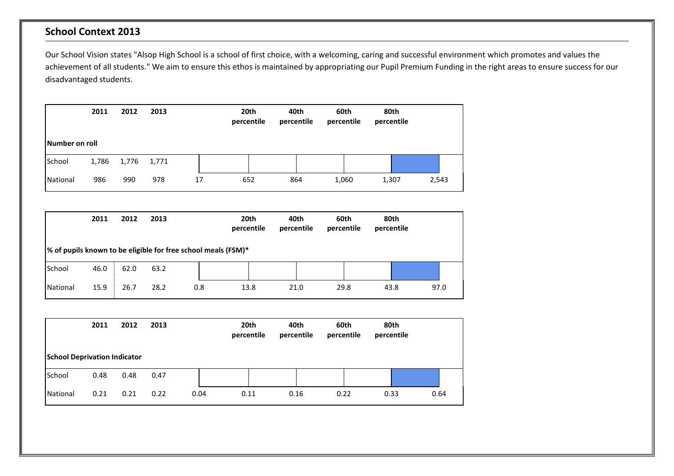# **School Context 2013**

Our School Vision states "Alsop High School is a school of first choice, with a welcoming, caring and successful environment which promotes and values the achievement of all students." We aim to ensure this ethos is maintained by appropriating our Pupil Premium Funding in the right areas to ensure success for our disadvantaged students.

|                | 2011  | 2012  | 2013  |    | 20th<br>percentile | 40th<br>percentile | 60th<br>percentile | 80th<br>percentile |       |
|----------------|-------|-------|-------|----|--------------------|--------------------|--------------------|--------------------|-------|
| Number on roll |       |       |       |    |                    |                    |                    |                    |       |
| School         | 1,786 | 1,776 | 1,771 |    |                    |                    |                    |                    |       |
| National       | 986   | 990   | 978   | 17 | 652                | 864                | 1,060              | 1,307              | 2,543 |

|          | 2011 | 2012 | 2013 |                                                               | 20th<br>percentile | 40th<br>percentile | 60th<br>percentile | 80th<br>percentile |      |
|----------|------|------|------|---------------------------------------------------------------|--------------------|--------------------|--------------------|--------------------|------|
|          |      |      |      | % of pupils known to be eligible for free school meals (FSM)* |                    |                    |                    |                    |      |
| School   | 46.0 | 62.0 | 63.2 |                                                               |                    |                    |                    |                    |      |
| National | 15.9 | 26.7 | 28.2 | 0.8                                                           | 13.8               | 21.0               | 29.8               | 43.8               | 97.0 |

|                                     | 2011 | 2012 | 2013 |      | 20th<br>percentile | 40th<br>percentile | 60th<br>percentile | 80th<br>percentile |      |
|-------------------------------------|------|------|------|------|--------------------|--------------------|--------------------|--------------------|------|
| <b>School Deprivation Indicator</b> |      |      |      |      |                    |                    |                    |                    |      |
| School                              | 0.48 | 0.48 | 0.47 |      |                    |                    |                    |                    |      |
| National                            | 0.21 | 0.21 | 0.22 | 0.04 | 0.11               | 0.16               | 0.22               | 0.33               | 0.64 |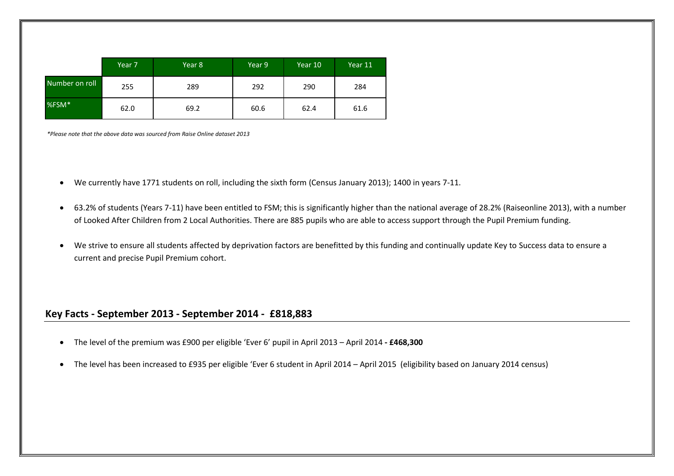|                | Year 7 | Year 8 | Year 9 | Year 10 | Year 11 |
|----------------|--------|--------|--------|---------|---------|
| Number on roll | 255    | 289    | 292    | 290     | 284     |
| %FSM*          | 62.0   | 69.2   | 60.6   | 62.4    | 61.6    |

*\*Please note that the above data was sourced from Raise Online dataset 2013*

- We currently have 1771 students on roll, including the sixth form (Census January 2013); 1400 in years 7-11.
- 63.2% of students (Years 7-11) have been entitled to FSM; this is significantly higher than the national average of 28.2% (Raiseonline 2013), with a number of Looked After Children from 2 Local Authorities. There are 885 pupils who are able to access support through the Pupil Premium funding.
- We strive to ensure all students affected by deprivation factors are benefitted by this funding and continually update Key to Success data to ensure a current and precise Pupil Premium cohort.

# **Key Facts - September 2013 - September 2014 - £818,883**

- The level of the premium was £900 per eligible 'Ever 6' pupil in April 2013 April 2014 **- £468,300**
- The level has been increased to £935 per eligible 'Ever 6 student in April 2014 April 2015 (eligibility based on January 2014 census)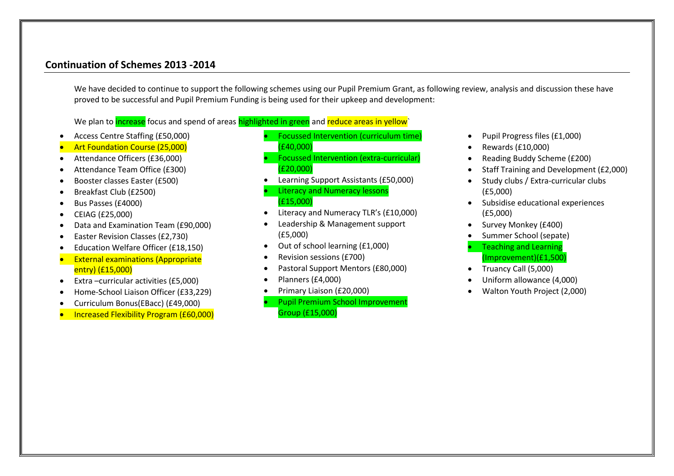# **Continuation of Schemes 2013 -2014**

We have decided to continue to support the following schemes using our Pupil Premium Grant, as following review, analysis and discussion these have proved to be successful and Pupil Premium Funding is being used for their upkeep and development:

We plan to *increase* focus and spend of areas highlighted in green and reduce areas in yellow

- Access Centre Staffing (£50,000)
- Art Foundation Course (25,000)
- Attendance Officers (£36,000)
- Attendance Team Office (£300)
- Booster classes Easter (£500)
- Breakfast Club (£2500)
- Bus Passes (£4000)
- CEIAG (£25,000)
- Data and Examination Team (£90,000)
- Easter Revision Classes (£2,730)
- Education Welfare Officer (£18,150)
- External examinations (Appropriate entry) (£15,000)
- Extra –curricular activities (£5,000)
- Home-School Liaison Officer (£33,229)
- Curriculum Bonus(EBacc) (£49,000)
- Increased Flexibility Program (£60,000)
- Focussed Intervention (curriculum time) (£40,000)
- Focussed Intervention (extra-curricular) (£20,000)
- Learning Support Assistants (£50,000)
- Literacy and Numeracy lessons (£15,000)
- Literacy and Numeracy TLR's (£10,000)
- Leadership & Management support (£5,000)
- Out of school learning (£1,000)
- Revision sessions (£700)
- Pastoral Support Mentors (£80,000)
- Planners (£4,000)
- Primary Liaison (£20,000)
- Pupil Premium School Improvement Group (£15,000)
- Pupil Progress files (£1,000)
- Rewards (£10,000)
- Reading Buddy Scheme (£200)
- Staff Training and Development (£2,000)
- Study clubs / Extra-curricular clubs (£5,000)
- Subsidise educational experiences (£5,000)
- Survey Monkey (£400)
- Summer School (sepate)
- Teaching and Learning (Improvement)(£1,500)
- Truancy Call (5,000)
- Uniform allowance (4,000)
- Walton Youth Project (2,000)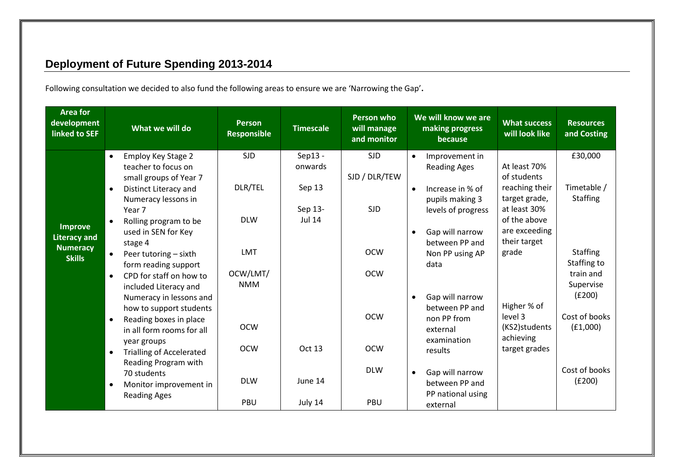# **Deployment of Future Spending 2013-2014**

Following consultation we decided to also fund the following areas to ensure we are 'Narrowing the Gap'**.**

| <b>Area for</b><br>development<br>linked to SEF                           | What we will do                                                                                                                                                                                                                                                              | <b>Person</b><br><b>Responsible</b>                           | <b>Timescale</b>                                         | <b>Person who</b><br>will manage<br>and monitor                       | We will know we are<br>making progress<br>because                                                                                                                                            | <b>What success</b><br>will look like                                                                                                    | <b>Resources</b><br>and Costing                                                          |
|---------------------------------------------------------------------------|------------------------------------------------------------------------------------------------------------------------------------------------------------------------------------------------------------------------------------------------------------------------------|---------------------------------------------------------------|----------------------------------------------------------|-----------------------------------------------------------------------|----------------------------------------------------------------------------------------------------------------------------------------------------------------------------------------------|------------------------------------------------------------------------------------------------------------------------------------------|------------------------------------------------------------------------------------------|
| <b>Improve</b><br><b>Literacy and</b><br><b>Numeracy</b><br><b>Skills</b> | Employ Key Stage 2<br>teacher to focus on<br>small groups of Year 7<br>Distinct Literacy and<br>Numeracy lessons in<br>Year 7<br>Rolling program to be<br>used in SEN for Key<br>stage 4<br>Peer tutoring - sixth<br>form reading support<br>CPD for staff on how to         | <b>SJD</b><br>DLR/TEL<br><b>DLW</b><br><b>LMT</b><br>OCW/LMT/ | Sep13 -<br>onwards<br>Sep 13<br>Sep 13-<br><b>Jul 14</b> | <b>SJD</b><br>SJD / DLR/TEW<br><b>SJD</b><br><b>OCW</b><br><b>OCW</b> | Improvement in<br>$\bullet$<br><b>Reading Ages</b><br>Increase in % of<br>$\bullet$<br>pupils making 3<br>levels of progress<br>Gap will narrow<br>between PP and<br>Non PP using AP<br>data | At least 70%<br>of students<br>reaching their<br>target grade,<br>at least 30%<br>of the above<br>are exceeding<br>their target<br>grade | £30,000<br>Timetable /<br><b>Staffing</b><br><b>Staffing</b><br>Staffing to<br>train and |
|                                                                           | included Literacy and<br>Numeracy in lessons and<br>how to support students<br>Reading boxes in place<br>in all form rooms for all<br>year groups<br><b>Trialling of Accelerated</b><br>Reading Program with<br>70 students<br>Monitor improvement in<br><b>Reading Ages</b> | <b>NMM</b><br><b>OCW</b><br><b>OCW</b><br><b>DLW</b><br>PBU   | Oct 13<br>June 14<br>July 14                             | <b>OCW</b><br><b>OCW</b><br><b>DLW</b><br>PBU                         | Gap will narrow<br>between PP and<br>non PP from<br>external<br>examination<br>results<br>Gap will narrow<br>$\bullet$<br>between PP and<br>PP national using<br>external                    | Higher % of<br>level 3<br>(KS2)students<br>achieving<br>target grades                                                                    | Supervise<br>(E200)<br>Cost of books<br>(E1,000)<br>Cost of books<br>(E200)              |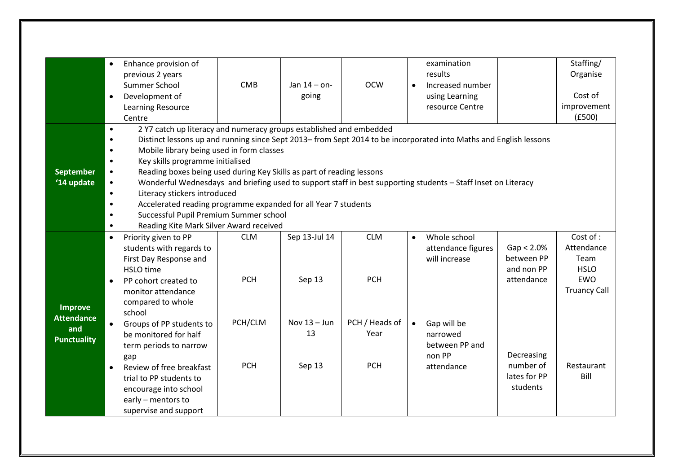|                                                | Enhance provision of<br>$\bullet$<br>previous 2 years                                                                                                                                                                                                                                                                                                                                                                                                                                                                                                  |                          |                                |                                      | examination<br>results                                                                                                                                                                                                             |                                                         | Staffing/<br>Organise                                                               |
|------------------------------------------------|--------------------------------------------------------------------------------------------------------------------------------------------------------------------------------------------------------------------------------------------------------------------------------------------------------------------------------------------------------------------------------------------------------------------------------------------------------------------------------------------------------------------------------------------------------|--------------------------|--------------------------------|--------------------------------------|------------------------------------------------------------------------------------------------------------------------------------------------------------------------------------------------------------------------------------|---------------------------------------------------------|-------------------------------------------------------------------------------------|
|                                                | Summer School<br>Development of<br>$\bullet$<br>Learning Resource<br>Centre                                                                                                                                                                                                                                                                                                                                                                                                                                                                            | <b>CMB</b>               | Jan $14$ – on-<br>going        | <b>OCW</b>                           | Increased number<br>$\bullet$<br>using Learning<br>resource Centre                                                                                                                                                                 |                                                         | Cost of<br>improvement<br>(f500)                                                    |
| <b>September</b><br>'14 update                 | 2 Y7 catch up literacy and numeracy groups established and embedded<br>$\bullet$<br>$\bullet$<br>Mobile library being used in form classes<br>$\bullet$<br>Key skills programme initialised<br>$\bullet$<br>Reading boxes being used during Key Skills as part of reading lessons<br>$\bullet$<br>$\bullet$<br>Literacy stickers introduced<br>$\bullet$<br>Accelerated reading programme expanded for all Year 7 students<br>$\bullet$<br>Successful Pupil Premium Summer school<br>$\bullet$<br>Reading Kite Mark Silver Award received<br>$\bullet$ |                          |                                |                                      | Distinct lessons up and running since Sept 2013– from Sept 2014 to be incorporated into Maths and English lessons<br>Wonderful Wednesdays and briefing used to support staff in best supporting students - Staff Inset on Literacy |                                                         |                                                                                     |
| <b>Improve</b>                                 | Priority given to PP<br>$\bullet$<br>students with regards to<br>First Day Response and<br>HSLO time<br>PP cohort created to<br>$\bullet$<br>monitor attendance<br>compared to whole<br>school                                                                                                                                                                                                                                                                                                                                                         | <b>CLM</b><br><b>PCH</b> | Sep 13-Jul 14<br>Sep 13        | <b>CLM</b><br><b>PCH</b>             | Whole school<br>$\bullet$<br>attendance figures<br>will increase                                                                                                                                                                   | $Gap < 2.0\%$<br>between PP<br>and non PP<br>attendance | Cost of :<br>Attendance<br>Team<br><b>HSLO</b><br><b>EWO</b><br><b>Truancy Call</b> |
| <b>Attendance</b><br>and<br><b>Punctuality</b> | $\bullet$<br>Groups of PP students to<br>be monitored for half<br>term periods to narrow<br>gap<br>Review of free breakfast<br>$\bullet$<br>trial to PP students to<br>encourage into school<br>early - mentors to<br>supervise and support                                                                                                                                                                                                                                                                                                            | PCH/CLM<br><b>PCH</b>    | Nov $13 - Jun$<br>13<br>Sep 13 | PCH / Heads of<br>Year<br><b>PCH</b> | Gap will be<br>$\bullet$<br>narrowed<br>between PP and<br>non PP<br>attendance                                                                                                                                                     | Decreasing<br>number of<br>lates for PP<br>students     | Restaurant<br>Bill                                                                  |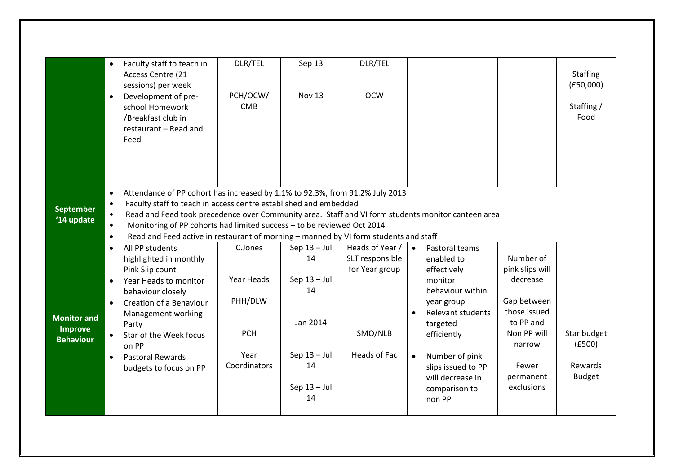|                                                          | Faculty staff to teach in<br>Access Centre (21<br>sessions) per week<br>Development of pre-<br>$\bullet$<br>school Homework<br>/Breakfast club in<br>restaurant - Read and<br>Feed                                                                                                                                                                                                                                                                 | DLR/TEL<br>PCH/OCW/<br><b>CMB</b>                                      | Sep 13<br><b>Nov 13</b>                                                                                  | DLR/TEL<br><b>OCW</b>                                                           |                                                                                                                                                                                                                                                           |                                                                                                                                                   | <b>Staffing</b><br>(E50,000)<br>Staffing /<br>Food |
|----------------------------------------------------------|----------------------------------------------------------------------------------------------------------------------------------------------------------------------------------------------------------------------------------------------------------------------------------------------------------------------------------------------------------------------------------------------------------------------------------------------------|------------------------------------------------------------------------|----------------------------------------------------------------------------------------------------------|---------------------------------------------------------------------------------|-----------------------------------------------------------------------------------------------------------------------------------------------------------------------------------------------------------------------------------------------------------|---------------------------------------------------------------------------------------------------------------------------------------------------|----------------------------------------------------|
| <b>September</b><br>'14 update                           | Attendance of PP cohort has increased by 1.1% to 92.3%, from 91.2% July 2013<br>$\bullet$<br>Faculty staff to teach in access centre established and embedded<br>Read and Feed took precedence over Community area. Staff and VI form students monitor canteen area<br>Monitoring of PP cohorts had limited success - to be reviewed Oct 2014<br>Read and Feed active in restaurant of morning - manned by VI form students and staff<br>$\bullet$ |                                                                        |                                                                                                          |                                                                                 |                                                                                                                                                                                                                                                           |                                                                                                                                                   |                                                    |
| <b>Monitor and</b><br><b>Improve</b><br><b>Behaviour</b> | All PP students<br>$\bullet$<br>highlighted in monthly<br>Pink Slip count<br>Year Heads to monitor<br>$\bullet$<br>behaviour closely<br>Creation of a Behaviour<br>$\bullet$<br>Management working<br>Party<br>Star of the Week focus<br>on PP<br><b>Pastoral Rewards</b><br>$\bullet$<br>budgets to focus on PP                                                                                                                                   | C.Jones<br>Year Heads<br>PHH/DLW<br><b>PCH</b><br>Year<br>Coordinators | Sep $13 -$ Jul<br>14<br>Sep $13 -$ Jul<br>14<br>Jan 2014<br>Sep $13 -$ Jul<br>14<br>Sep $13 -$ Jul<br>14 | Heads of Year /<br>SLT responsible<br>for Year group<br>SMO/NLB<br>Heads of Fac | Pastoral teams<br>$\bullet$<br>enabled to<br>effectively<br>monitor<br>behaviour within<br>year group<br>Relevant students<br>$\bullet$<br>targeted<br>efficiently<br>Number of pink<br>slips issued to PP<br>will decrease in<br>comparison to<br>non PP | Number of<br>pink slips will<br>decrease<br>Gap between<br>those issued<br>to PP and<br>Non PP will<br>narrow<br>Fewer<br>permanent<br>exclusions | Star budget<br>(E500)<br>Rewards<br><b>Budget</b>  |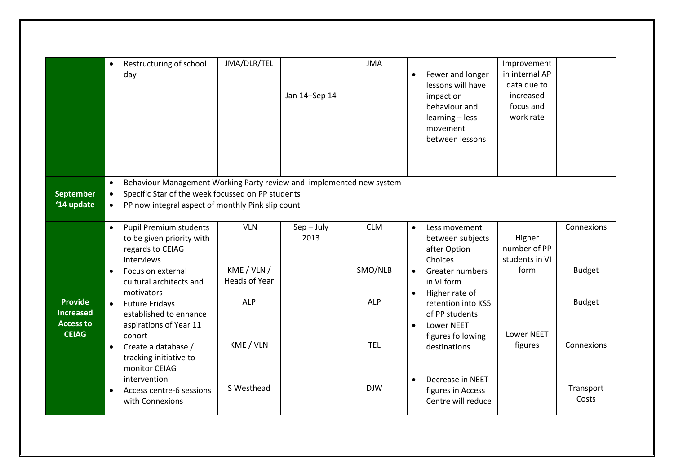|                                                        | Restructuring of school<br>$\bullet$<br>day                                                                                                                                                 | JMA/DLR/TEL                                       | Jan 14-Sep 14        | <b>JMA</b>            | $\bullet$              | Fewer and longer<br>lessons will have<br>impact on<br>behaviour and<br>learning - less<br>movement<br>between lessons  | Improvement<br>in internal AP<br>data due to<br>increased<br>focus and<br>work rate |                             |
|--------------------------------------------------------|---------------------------------------------------------------------------------------------------------------------------------------------------------------------------------------------|---------------------------------------------------|----------------------|-----------------------|------------------------|------------------------------------------------------------------------------------------------------------------------|-------------------------------------------------------------------------------------|-----------------------------|
| <b>September</b><br>'14 update                         | Behaviour Management Working Party review and implemented new system<br>Specific Star of the week focussed on PP students<br>$\bullet$<br>PP now integral aspect of monthly Pink slip count |                                                   |                      |                       |                        |                                                                                                                        |                                                                                     |                             |
|                                                        | <b>Pupil Premium students</b><br>$\bullet$<br>to be given priority with<br>regards to CEIAG<br>interviews<br>Focus on external<br>$\bullet$<br>cultural architects and<br>motivators        | <b>VLN</b><br>KME / VLN /<br><b>Heads of Year</b> | $Sep - July$<br>2013 | <b>CLM</b><br>SMO/NLB | $\bullet$<br>$\bullet$ | Less movement<br>between subjects<br>after Option<br>Choices<br><b>Greater numbers</b><br>in VI form<br>Higher rate of | Higher<br>number of PP<br>students in VI<br>form                                    | Connexions<br><b>Budget</b> |
| <b>Provide</b><br><b>Increased</b><br><b>Access to</b> | • Future Fridays<br>established to enhance<br>aspirations of Year 11                                                                                                                        | <b>ALP</b>                                        |                      | <b>ALP</b>            | $\bullet$              | retention into KS5<br>of PP students<br><b>Lower NEET</b>                                                              |                                                                                     | <b>Budget</b>               |
| <b>CEIAG</b>                                           | cohort<br>Create a database /<br>$\bullet$<br>tracking initiative to<br>monitor CEIAG                                                                                                       | KME / VLN                                         |                      | <b>TEL</b>            |                        | figures following<br>destinations                                                                                      | <b>Lower NEET</b><br>figures                                                        | Connexions                  |
|                                                        | intervention<br>Access centre-6 sessions<br>$\bullet$<br>with Connexions                                                                                                                    | S Westhead                                        |                      | <b>DJW</b>            | $\bullet$              | Decrease in NEET<br>figures in Access<br>Centre will reduce                                                            |                                                                                     | Transport<br>Costs          |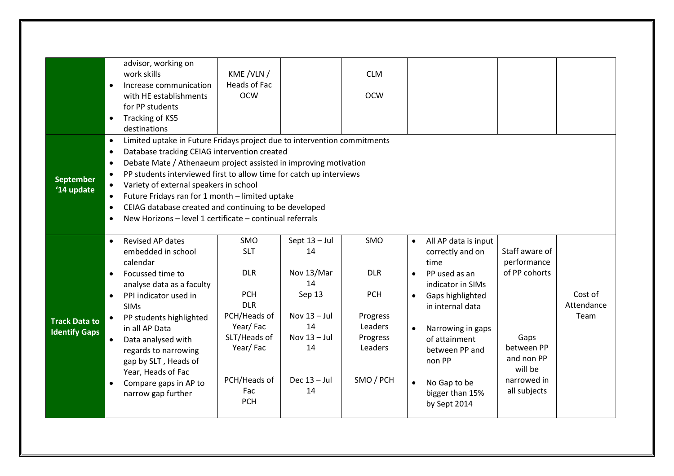| <b>September</b><br>'14 update               | Tracking of KS5<br>destinations<br>Limited uptake in Future Fridays project due to intervention commitments<br>Database tracking CEIAG intervention created<br>$\bullet$<br>Debate Mate / Athenaeum project assisted in improving motivation<br>$\bullet$<br>PP students interviewed first to allow time for catch up interviews<br>$\bullet$<br>Variety of external speakers in school<br>Future Fridays ran for 1 month - limited uptake<br>$\bullet$<br>CEIAG database created and continuing to be developed<br>$\bullet$<br>New Horizons - level 1 certificate - continual referrals<br>$\bullet$<br>Revised AP dates<br>$\bullet$ | SMO                                                                                                                                               | Sept 13 - Jul                                                                                            | SMO                                                                                 | $\bullet$                                        | All AP data is input                                                                                                                                                                                                        |                                                                                                                              |                               |
|----------------------------------------------|-----------------------------------------------------------------------------------------------------------------------------------------------------------------------------------------------------------------------------------------------------------------------------------------------------------------------------------------------------------------------------------------------------------------------------------------------------------------------------------------------------------------------------------------------------------------------------------------------------------------------------------------|---------------------------------------------------------------------------------------------------------------------------------------------------|----------------------------------------------------------------------------------------------------------|-------------------------------------------------------------------------------------|--------------------------------------------------|-----------------------------------------------------------------------------------------------------------------------------------------------------------------------------------------------------------------------------|------------------------------------------------------------------------------------------------------------------------------|-------------------------------|
| <b>Track Data to</b><br><b>Identify Gaps</b> | embedded in school<br>calendar<br>Focussed time to<br>$\bullet$<br>analyse data as a faculty<br>PPI indicator used in<br>$\bullet$<br><b>SIMs</b><br>PP students highlighted<br>in all AP Data<br>Data analysed with<br>$\bullet$<br>regards to narrowing<br>gap by SLT, Heads of<br>Year, Heads of Fac<br>Compare gaps in AP to<br>$\bullet$<br>narrow gap further                                                                                                                                                                                                                                                                     | <b>SLT</b><br><b>DLR</b><br><b>PCH</b><br><b>DLR</b><br>PCH/Heads of<br>Year/Fac<br>SLT/Heads of<br>Year/Fac<br>PCH/Heads of<br>Fac<br><b>PCH</b> | 14<br>Nov 13/Mar<br>14<br>Sep 13<br>Nov $13 -$ Jul<br>14<br>Nov $13 -$ Jul<br>14<br>Dec $13 -$ Jul<br>14 | <b>DLR</b><br><b>PCH</b><br>Progress<br>Leaders<br>Progress<br>Leaders<br>SMO / PCH | $\bullet$<br>$\bullet$<br>$\bullet$<br>$\bullet$ | correctly and on<br>time<br>PP used as an<br>indicator in SIMs<br>Gaps highlighted<br>in internal data<br>Narrowing in gaps<br>of attainment<br>between PP and<br>non PP<br>No Gap to be<br>bigger than 15%<br>by Sept 2014 | Staff aware of<br>performance<br>of PP cohorts<br>Gaps<br>between PP<br>and non PP<br>will be<br>narrowed in<br>all subjects | Cost of<br>Attendance<br>Team |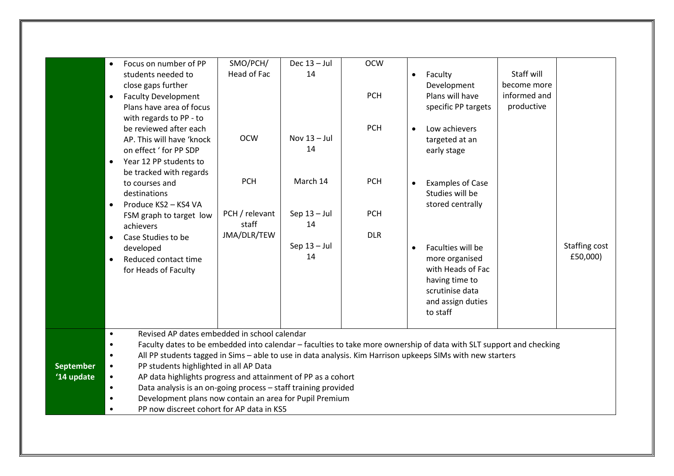|                  | $\bullet$                                                              | Focus on number of PP                                                         | SMO/PCH/                                                                                                                                                                                  | Dec $13 -$ Jul       | <b>OCW</b>               |           |                                                                                                                                                                                                                                   |                            |                           |
|------------------|------------------------------------------------------------------------|-------------------------------------------------------------------------------|-------------------------------------------------------------------------------------------------------------------------------------------------------------------------------------------|----------------------|--------------------------|-----------|-----------------------------------------------------------------------------------------------------------------------------------------------------------------------------------------------------------------------------------|----------------------------|---------------------------|
|                  | students needed to<br>close gaps further                               |                                                                               | Head of Fac                                                                                                                                                                               | 14                   |                          | $\bullet$ | Faculty<br>Development                                                                                                                                                                                                            | Staff will<br>become more  |                           |
|                  | <b>Faculty Development</b><br>$\bullet$                                | Plans have area of focus<br>with regards to PP - to                           |                                                                                                                                                                                           |                      | <b>PCH</b>               |           | Plans will have<br>specific PP targets                                                                                                                                                                                            | informed and<br>productive |                           |
|                  | on effect ' for PP SDP<br>$\bullet$                                    | be reviewed after each<br>AP. This will have 'knock<br>Year 12 PP students to | <b>OCW</b>                                                                                                                                                                                | Nov $13 -$ Jul<br>14 | <b>PCH</b>               | $\bullet$ | Low achievers<br>targeted at an<br>early stage                                                                                                                                                                                    |                            |                           |
|                  | to courses and<br>destinations<br>Produce KS2 - KS4 VA<br>$\bullet$    | be tracked with regards                                                       | <b>PCH</b>                                                                                                                                                                                | March 14             | <b>PCH</b>               |           | <b>Examples of Case</b><br>Studies will be<br>stored centrally                                                                                                                                                                    |                            |                           |
|                  | achievers<br>Case Studies to be<br>$\bullet$                           | FSM graph to target low                                                       | PCH / relevant<br>staff<br>JMA/DLR/TEW                                                                                                                                                    | Sep $13 -$ Jul<br>14 | <b>PCH</b><br><b>DLR</b> |           |                                                                                                                                                                                                                                   |                            |                           |
|                  | developed<br>Reduced contact time<br>$\bullet$<br>for Heads of Faculty |                                                                               |                                                                                                                                                                                           | Sep $13 -$ Jul<br>14 |                          | $\bullet$ | Faculties will be<br>more organised<br>with Heads of Fac<br>having time to<br>scrutinise data<br>and assign duties<br>to staff                                                                                                    |                            | Staffing cost<br>£50,000) |
| <b>September</b> | $\bullet$                                                              |                                                                               | Revised AP dates embedded in school calendar<br>PP students highlighted in all AP Data                                                                                                    |                      |                          |           | Faculty dates to be embedded into calendar - faculties to take more ownership of data with SLT support and checking<br>All PP students tagged in Sims - able to use in data analysis. Kim Harrison upkeeps SIMs with new starters |                            |                           |
| '14 update       | $\bullet$<br>$\bullet$                                                 |                                                                               | AP data highlights progress and attainment of PP as a cohort<br>Data analysis is an on-going process - staff training provided<br>Development plans now contain an area for Pupil Premium |                      |                          |           |                                                                                                                                                                                                                                   |                            |                           |
|                  |                                                                        |                                                                               | PP now discreet cohort for AP data in KS5                                                                                                                                                 |                      |                          |           |                                                                                                                                                                                                                                   |                            |                           |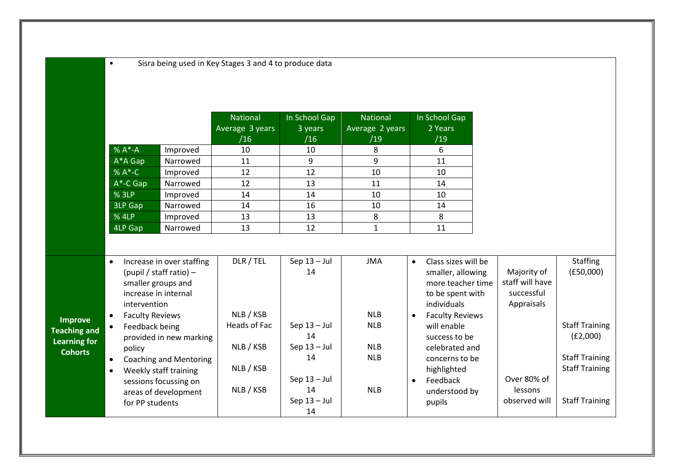• Sisra being used in Key Stages 3 and 4 to produce data

|              |                           | <b>National</b><br>Average 3 years<br>/16 | In School Gap<br>3 years<br>/16 | <b>National</b><br>Average 2 years<br>/19 | In School Gap<br>2 Years<br>/19  |
|--------------|---------------------------|-------------------------------------------|---------------------------------|-------------------------------------------|----------------------------------|
| $% A^*$ -A   | Improved                  | 10                                        | 10                              | 8                                         | 6                                |
| $A^*A$ Gap   | Narrowed                  | 11                                        | 9                               | 9                                         | 11                               |
| $% A*-C$     | Improved                  | 12                                        | 12                              | 10                                        | 10                               |
| $A^*$ -C Gap | Narrowed                  | 12                                        | 13                              | 11                                        | 14                               |
| % 3LP        | Improved                  | 14                                        | 14                              | 10                                        | 10                               |
| 3LP Gap      | Narrowed                  | 14                                        | 16                              | 10                                        | 14                               |
| % 4LP        | Improved                  | 13                                        | 13                              | 8                                         | 8                                |
| 4LP Gap      | Narrowed                  | 13                                        | 12                              | 1                                         | 11                               |
|              |                           |                                           |                                 |                                           |                                  |
| ٠            | Increase in over staffing | DLR / TEL                                 | Sep $13 -$ Jul                  | <b>JMA</b>                                | Class sizes will be<br>$\bullet$ |

|                     | Increase in over staffing | DLR / TEL    | Sep $13 -$ Jul | <b>JMA</b> | Class sizes will be    |                 | Staffing              |
|---------------------|---------------------------|--------------|----------------|------------|------------------------|-----------------|-----------------------|
|                     | (pupil / staff ratio) $-$ |              | 14             |            | smaller, allowing      | Majority of     | (E50,000)             |
|                     | smaller groups and        |              |                |            | more teacher time      | staff will have |                       |
|                     | increase in internal      |              |                |            | to be spent with       | successful      |                       |
|                     | intervention              |              |                |            | individuals            | Appraisals      |                       |
| <b>Improve</b>      | <b>Faculty Reviews</b>    | NLB / KSB    |                | <b>NLB</b> | <b>Faculty Reviews</b> |                 |                       |
| <b>Teaching and</b> | Feedback being            | Heads of Fac | Sep $13 -$ Jul | <b>NLB</b> | will enable            |                 | <b>Staff Training</b> |
| Learning for        | provided in new marking   |              | 14             |            | success to be          |                 | (E2,000)              |
| <b>Cohorts</b>      | policy                    | NLB / KSB    | Sep $13 -$ Jul | <b>NLB</b> | celebrated and         |                 |                       |
|                     | Coaching and Mentoring    |              | 14             | <b>NLB</b> | concerns to be         |                 | <b>Staff Training</b> |
|                     | Weekly staff training     | NLB / KSB    |                |            | highlighted            |                 | <b>Staff Training</b> |
|                     | sessions focussing on     |              | Sep $13 -$ Jul |            | Feedback               | Over 80% of     |                       |
|                     | areas of development      | NLB / KSB    | 14             | <b>NLB</b> | understood by          | lessons         |                       |
|                     | for PP students           |              | Sep $13 -$ Jul |            | pupils                 | observed will   | <b>Staff Training</b> |
|                     |                           |              | 14             |            |                        |                 |                       |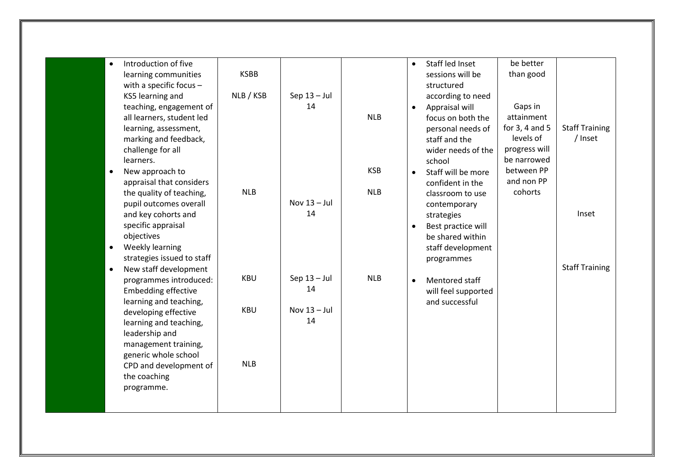| Introduction of five<br>$\bullet$<br>learning communities | <b>KSBB</b> |                      |            | Staff led Inset<br>$\bullet$<br>sessions will be | be better<br>than good |                       |
|-----------------------------------------------------------|-------------|----------------------|------------|--------------------------------------------------|------------------------|-----------------------|
| with a specific focus $-$                                 |             |                      |            | structured                                       |                        |                       |
| KS5 learning and                                          | NLB / KSB   | Sep $13 -$ Jul       |            | according to need                                |                        |                       |
| teaching, engagement of                                   |             | 14                   |            | Appraisal will<br>$\bullet$                      | Gaps in                |                       |
| all learners, student led                                 |             |                      | <b>NLB</b> | focus on both the                                | attainment             |                       |
| learning, assessment,                                     |             |                      |            | personal needs of                                | for $3, 4$ and $5$     | <b>Staff Training</b> |
| marking and feedback,                                     |             |                      |            | staff and the                                    | levels of              | / Inset               |
| challenge for all                                         |             |                      |            | wider needs of the                               | progress will          |                       |
| learners.                                                 |             |                      |            | school                                           | be narrowed            |                       |
| New approach to                                           |             |                      | <b>KSB</b> | Staff will be more<br>$\bullet$                  | between PP             |                       |
| appraisal that considers                                  |             |                      |            | confident in the                                 | and non PP             |                       |
| the quality of teaching,                                  | <b>NLB</b>  |                      | <b>NLB</b> | classroom to use                                 | cohorts                |                       |
| pupil outcomes overall                                    |             | Nov $13 -$ Jul       |            | contemporary                                     |                        |                       |
| and key cohorts and                                       |             | 14                   |            | strategies                                       |                        | Inset                 |
| specific appraisal                                        |             |                      |            | Best practice will<br>$\bullet$                  |                        |                       |
| objectives                                                |             |                      |            | be shared within                                 |                        |                       |
| Weekly learning<br>$\bullet$                              |             |                      |            | staff development                                |                        |                       |
| strategies issued to staff                                |             |                      |            | programmes                                       |                        |                       |
| New staff development<br>$\bullet$                        |             |                      | <b>NLB</b> |                                                  |                        | <b>Staff Training</b> |
| programmes introduced:                                    | <b>KBU</b>  | Sep $13 -$ Jul<br>14 |            | Mentored staff<br>$\bullet$                      |                        |                       |
| <b>Embedding effective</b>                                |             |                      |            | will feel supported                              |                        |                       |
| learning and teaching,                                    | <b>KBU</b>  | Nov $13 -$ Jul       |            | and successful                                   |                        |                       |
| developing effective                                      |             | 14                   |            |                                                  |                        |                       |
| learning and teaching,                                    |             |                      |            |                                                  |                        |                       |
| leadership and                                            |             |                      |            |                                                  |                        |                       |
| management training,<br>generic whole school              |             |                      |            |                                                  |                        |                       |
| CPD and development of                                    | <b>NLB</b>  |                      |            |                                                  |                        |                       |
| the coaching                                              |             |                      |            |                                                  |                        |                       |
| programme.                                                |             |                      |            |                                                  |                        |                       |
|                                                           |             |                      |            |                                                  |                        |                       |
|                                                           |             |                      |            |                                                  |                        |                       |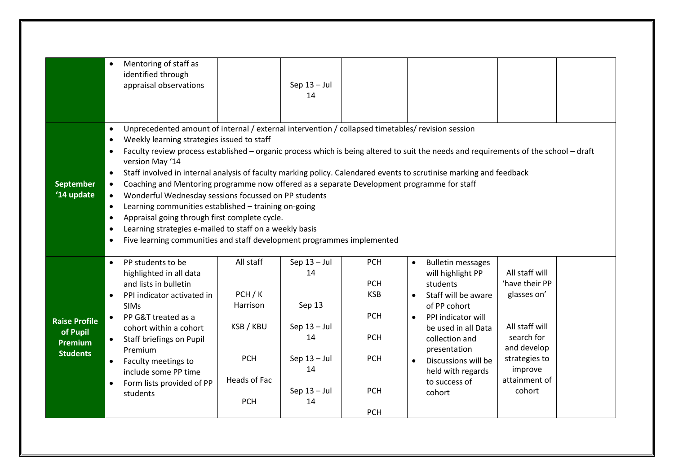|                                                                       | Mentoring of staff as<br>identified through<br>appraisal observations                                                                                                                                                                                                                                                                                                                                                                                                                                                                                                                                                                                                                                                                                                                                                                                                                                  |                                                                                         | Sep $13 -$ Jul<br>14                                                                                   |                                                                                                              |                                                                                                                                                                                                                                                                                                            |                                                                                                                                                       |  |
|-----------------------------------------------------------------------|--------------------------------------------------------------------------------------------------------------------------------------------------------------------------------------------------------------------------------------------------------------------------------------------------------------------------------------------------------------------------------------------------------------------------------------------------------------------------------------------------------------------------------------------------------------------------------------------------------------------------------------------------------------------------------------------------------------------------------------------------------------------------------------------------------------------------------------------------------------------------------------------------------|-----------------------------------------------------------------------------------------|--------------------------------------------------------------------------------------------------------|--------------------------------------------------------------------------------------------------------------|------------------------------------------------------------------------------------------------------------------------------------------------------------------------------------------------------------------------------------------------------------------------------------------------------------|-------------------------------------------------------------------------------------------------------------------------------------------------------|--|
| <b>September</b><br>'14 update                                        | Unprecedented amount of internal / external intervention / collapsed timetables/ revision session<br>$\bullet$<br>Weekly learning strategies issued to staff<br>Faculty review process established - organic process which is being altered to suit the needs and requirements of the school - draft<br>version May '14<br>Staff involved in internal analysis of faculty marking policy. Calendared events to scrutinise marking and feedback<br>$\bullet$<br>Coaching and Mentoring programme now offered as a separate Development programme for staff<br>Wonderful Wednesday sessions focussed on PP students<br>$\bullet$<br>Learning communities established - training on-going<br>$\bullet$<br>Appraisal going through first complete cycle.<br>Learning strategies e-mailed to staff on a weekly basis<br>Five learning communities and staff development programmes implemented<br>$\bullet$ |                                                                                         |                                                                                                        |                                                                                                              |                                                                                                                                                                                                                                                                                                            |                                                                                                                                                       |  |
| <b>Raise Profile</b><br>of Pupil<br><b>Premium</b><br><b>Students</b> | PP students to be<br>$\bullet$<br>highlighted in all data<br>and lists in bulletin<br>PPI indicator activated in<br>$\bullet$<br><b>SIMs</b><br>PP G&T treated as a<br>cohort within a cohort<br>Staff briefings on Pupil<br>$\bullet$<br>Premium<br>Faculty meetings to<br>$\bullet$<br>include some PP time<br>Form lists provided of PP<br>students                                                                                                                                                                                                                                                                                                                                                                                                                                                                                                                                                 | All staff<br>PCH/K<br>Harrison<br>KSB / KBU<br><b>PCH</b><br>Heads of Fac<br><b>PCH</b> | Sep $13 -$ Jul<br>14<br>Sep 13<br>Sep $13 -$ Jul<br>14<br>Sep $13 -$ Jul<br>14<br>Sep $13 -$ Jul<br>14 | <b>PCH</b><br><b>PCH</b><br><b>KSB</b><br><b>PCH</b><br><b>PCH</b><br><b>PCH</b><br><b>PCH</b><br><b>PCH</b> | <b>Bulletin messages</b><br>$\bullet$<br>will highlight PP<br>students<br>Staff will be aware<br>$\bullet$<br>of PP cohort<br>PPI indicator will<br>$\bullet$<br>be used in all Data<br>collection and<br>presentation<br>Discussions will be<br>$\bullet$<br>held with regards<br>to success of<br>cohort | All staff will<br>'have their PP<br>glasses on'<br>All staff will<br>search for<br>and develop<br>strategies to<br>improve<br>attainment of<br>cohort |  |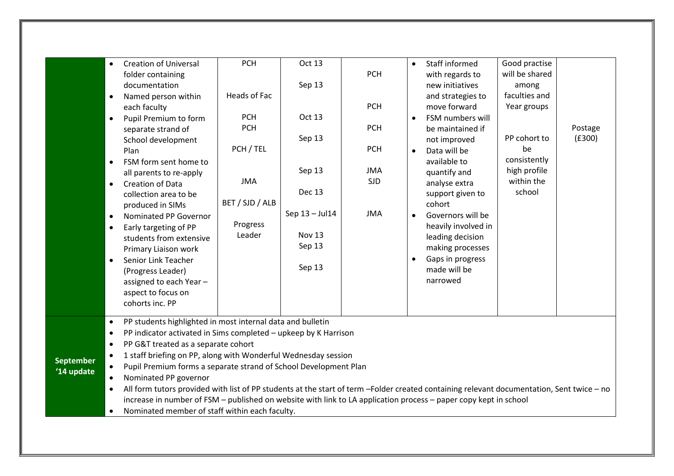|                                | <b>Creation of Universal</b><br>$\bullet$<br>folder containing<br>documentation<br>Named person within<br>$\bullet$<br>each faculty<br>Pupil Premium to form<br>$\bullet$<br>separate strand of<br>School development<br>Plan<br>FSM form sent home to<br>$\bullet$<br>all parents to re-apply<br><b>Creation of Data</b><br>$\bullet$<br>collection area to be<br>produced in SIMs<br>Nominated PP Governor<br>$\bullet$<br>Early targeting of PP<br>$\bullet$<br>students from extensive<br>Primary Liaison work<br>Senior Link Teacher<br>(Progress Leader)<br>assigned to each Year-<br>aspect to focus on<br>cohorts inc. PP                                     | <b>PCH</b><br>Heads of Fac<br><b>PCH</b><br><b>PCH</b><br>PCH / TEL<br><b>JMA</b><br>BET / SJD / ALB<br>Progress<br>Leader | Oct 13<br>Sep 13<br>Oct 13<br>Sep 13<br>Sep 13<br><b>Dec 13</b><br>Sep 13 - Jul14<br>Nov 13<br>Sep 13<br>Sep 13 | <b>PCH</b><br><b>PCH</b><br><b>PCH</b><br><b>PCH</b><br><b>JMA</b><br><b>SJD</b><br><b>JMA</b> | $\bullet$<br>$\bullet$<br>٠ | Staff informed<br>with regards to<br>new initiatives<br>and strategies to<br>move forward<br>FSM numbers will<br>be maintained if<br>not improved<br>Data will be<br>available to<br>quantify and<br>analyse extra<br>support given to<br>cohort<br>Governors will be<br>heavily involved in<br>leading decision<br>making processes<br>Gaps in progress<br>made will be<br>narrowed | Good practise<br>will be shared<br>among<br>faculties and<br>Year groups<br>PP cohort to<br>be<br>consistently<br>high profile<br>within the<br>school | Postage<br>(E300) |
|--------------------------------|-----------------------------------------------------------------------------------------------------------------------------------------------------------------------------------------------------------------------------------------------------------------------------------------------------------------------------------------------------------------------------------------------------------------------------------------------------------------------------------------------------------------------------------------------------------------------------------------------------------------------------------------------------------------------|----------------------------------------------------------------------------------------------------------------------------|-----------------------------------------------------------------------------------------------------------------|------------------------------------------------------------------------------------------------|-----------------------------|--------------------------------------------------------------------------------------------------------------------------------------------------------------------------------------------------------------------------------------------------------------------------------------------------------------------------------------------------------------------------------------|--------------------------------------------------------------------------------------------------------------------------------------------------------|-------------------|
| <b>September</b><br>'14 update | PP students highlighted in most internal data and bulletin<br>$\bullet$<br>PP indicator activated in Sims completed - upkeep by K Harrison<br>$\bullet$<br>PP G&T treated as a separate cohort<br>$\bullet$<br>1 staff briefing on PP, along with Wonderful Wednesday session<br>$\bullet$<br>Pupil Premium forms a separate strand of School Development Plan<br>$\bullet$<br>Nominated PP governor<br>All form tutors provided with list of PP students at the start of term -Folder created containing relevant documentation, Sent twice - no<br>increase in number of FSM - published on website with link to LA application process - paper copy kept in school |                                                                                                                            |                                                                                                                 |                                                                                                |                             |                                                                                                                                                                                                                                                                                                                                                                                      |                                                                                                                                                        |                   |

Nominated member of staff within each faculty.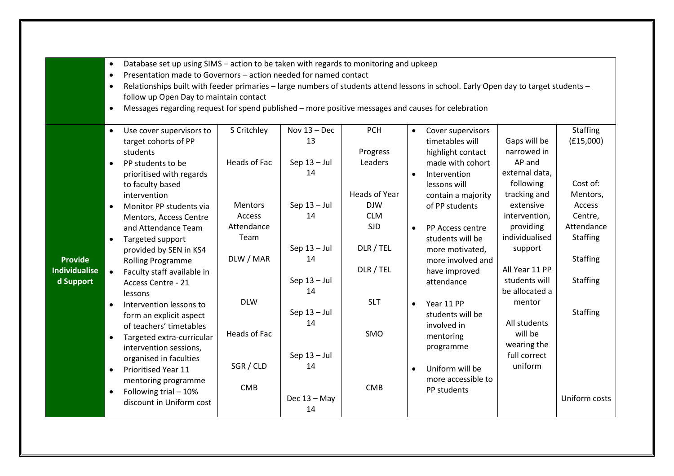|  | • Database set up using SIMS – action to be taken with regards to monitoring and upkeep |  |  |  |
|--|-----------------------------------------------------------------------------------------|--|--|--|
|--|-----------------------------------------------------------------------------------------|--|--|--|

- Presentation made to Governors action needed for named contact
- Relationships built with feeder primaries large numbers of students attend lessons in school. Early Open day to target students follow up Open Day to maintain contact
- Messages regarding request for spend published more positive messages and causes for celebration

|                      | Use cover supervisors to                | S Critchley    | Nov $13 - Dec$ | <b>PCH</b>    | $\bullet$ | Cover supervisors  |                | <b>Staffing</b> |
|----------------------|-----------------------------------------|----------------|----------------|---------------|-----------|--------------------|----------------|-----------------|
|                      | target cohorts of PP                    |                | 13             |               |           | timetables will    | Gaps will be   | (E15,000)       |
|                      | students                                |                |                | Progress      |           | highlight contact  | narrowed in    |                 |
|                      | PP students to be<br>$\bullet$          | Heads of Fac   | Sep $13 -$ Jul | Leaders       |           | made with cohort   | AP and         |                 |
|                      | prioritised with regards                |                | 14             |               | $\bullet$ | Intervention       | external data, |                 |
|                      | to faculty based                        |                |                |               |           | lessons will       | following      | Cost of:        |
|                      | intervention                            |                |                | Heads of Year |           | contain a majority | tracking and   | Mentors,        |
|                      | Monitor PP students via                 | <b>Mentors</b> | Sep $13 -$ Jul | <b>DJW</b>    |           | of PP students     | extensive      | Access          |
|                      | Mentors, Access Centre                  | Access         | 14             | <b>CLM</b>    |           |                    | intervention,  | Centre,         |
|                      | and Attendance Team                     | Attendance     |                | <b>SJD</b>    | $\bullet$ | PP Access centre   | providing      | Attendance      |
|                      | Targeted support                        | Team           |                |               |           | students will be   | individualised | <b>Staffing</b> |
|                      | provided by SEN in KS4                  |                | Sep $13 -$ Jul | DLR / TEL     |           | more motivated,    | support        |                 |
| <b>Provide</b>       | <b>Rolling Programme</b>                | DLW / MAR      | 14             |               |           | more involved and  |                | <b>Staffing</b> |
| <b>Individualise</b> | Faculty staff available in<br>$\bullet$ |                |                | DLR / TEL     |           | have improved      | All Year 11 PP |                 |
| d Support            | Access Centre - 21                      |                | Sep $13 -$ Jul |               |           | attendance         | students will  | <b>Staffing</b> |
|                      | lessons                                 |                | 14             |               |           |                    | be allocated a |                 |
|                      | Intervention lessons to                 | <b>DLW</b>     |                | <b>SLT</b>    | $\bullet$ | Year 11 PP         | mentor         |                 |
|                      | form an explicit aspect                 |                | Sep $13 -$ Jul |               |           | students will be   |                | <b>Staffing</b> |
|                      | of teachers' timetables                 |                | 14             |               |           | involved in        | All students   |                 |
|                      | Targeted extra-curricular<br>$\bullet$  | Heads of Fac   |                | <b>SMO</b>    |           | mentoring          | will be        |                 |
|                      | intervention sessions,                  |                |                |               |           | programme          | wearing the    |                 |
|                      | organised in faculties                  |                | Sep $13 -$ Jul |               |           |                    | full correct   |                 |
|                      | <b>Prioritised Year 11</b><br>$\bullet$ | SGR / CLD      | 14             |               |           | Uniform will be    | uniform        |                 |
|                      | mentoring programme                     |                |                |               |           | more accessible to |                |                 |
|                      | Following trial $-10%$<br>$\bullet$     | <b>CMB</b>     |                | <b>CMB</b>    |           | PP students        |                |                 |
|                      | discount in Uniform cost                |                | Dec $13 - May$ |               |           |                    |                | Uniform costs   |
|                      |                                         |                | 14             |               |           |                    |                |                 |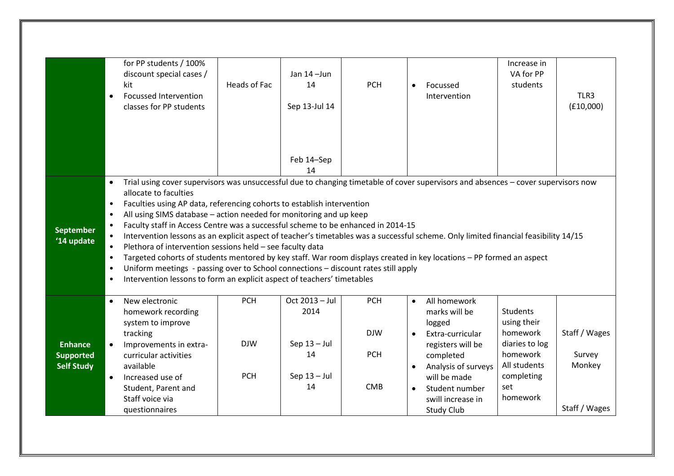|                                | for PP students / 100%<br>discount special cases /<br>kit<br><b>Focussed Intervention</b><br>classes for PP students                                                                                                                                                                                                                                                                                                                                                                                                                                                                                                                                                                                                                                                                                                                                                                                                                                                                     | Heads of Fac | Jan 14-Jun<br>14<br>Sep 13-Jul 14<br>Feb 14-Sep<br>14 | <b>PCH</b> | Focussed<br>$\bullet$<br>Intervention      | Increase in<br>VA for PP<br>students | TLR3<br>(E10,000) |
|--------------------------------|------------------------------------------------------------------------------------------------------------------------------------------------------------------------------------------------------------------------------------------------------------------------------------------------------------------------------------------------------------------------------------------------------------------------------------------------------------------------------------------------------------------------------------------------------------------------------------------------------------------------------------------------------------------------------------------------------------------------------------------------------------------------------------------------------------------------------------------------------------------------------------------------------------------------------------------------------------------------------------------|--------------|-------------------------------------------------------|------------|--------------------------------------------|--------------------------------------|-------------------|
| <b>September</b><br>'14 update | Trial using cover supervisors was unsuccessful due to changing timetable of cover supervisors and absences - cover supervisors now<br>$\bullet$<br>allocate to faculties<br>Faculties using AP data, referencing cohorts to establish intervention<br>$\bullet$<br>All using SIMS database - action needed for monitoring and up keep<br>$\bullet$<br>Faculty staff in Access Centre was a successful scheme to be enhanced in 2014-15<br>Intervention lessons as an explicit aspect of teacher's timetables was a successful scheme. Only limited financial feasibility 14/15<br>Plethora of intervention sessions held - see faculty data<br>$\bullet$<br>Targeted cohorts of students mentored by key staff. War room displays created in key locations - PP formed an aspect<br>$\bullet$<br>Uniform meetings - passing over to School connections - discount rates still apply<br>$\bullet$<br>Intervention lessons to form an explicit aspect of teachers' timetables<br>$\bullet$ |              |                                                       |            |                                            |                                      |                   |
|                                | New electronic<br>$\bullet$<br>homework recording<br>system to improve                                                                                                                                                                                                                                                                                                                                                                                                                                                                                                                                                                                                                                                                                                                                                                                                                                                                                                                   | <b>PCH</b>   | Oct 2013 - Jul<br>2014                                | <b>PCH</b> | All homework<br>$\bullet$<br>marks will be | <b>Students</b><br>using their       |                   |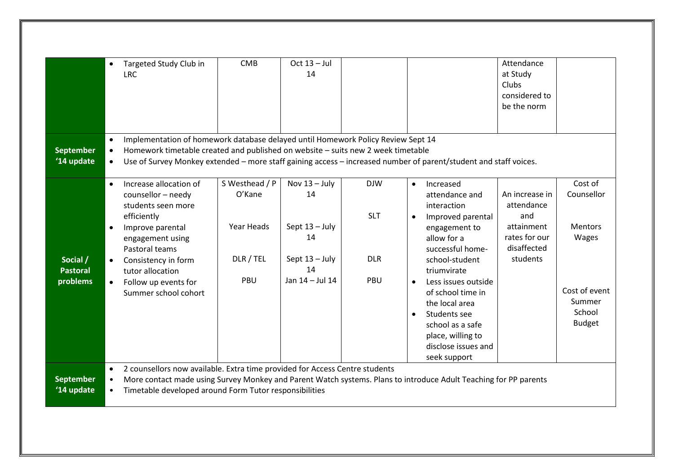|                                | Targeted Study Club in<br>$\bullet$<br><b>LRC</b>                                                                                                                                              | <b>CMB</b>               | Oct $13 -$ Jul<br>14   |            |                                                                                                                                                                                      | Attendance<br>at Study<br>Clubs<br>considered to<br>be the norm |                                                    |
|--------------------------------|------------------------------------------------------------------------------------------------------------------------------------------------------------------------------------------------|--------------------------|------------------------|------------|--------------------------------------------------------------------------------------------------------------------------------------------------------------------------------------|-----------------------------------------------------------------|----------------------------------------------------|
| <b>September</b><br>'14 update | Implementation of homework database delayed until Homework Policy Review Sept 14<br>$\bullet$<br>Homework timetable created and published on website - suits new 2 week timetable<br>$\bullet$ |                          |                        |            | Use of Survey Monkey extended – more staff gaining access – increased number of parent/student and staff voices.                                                                     |                                                                 |                                                    |
|                                | Increase allocation of<br>$\bullet$<br>counsellor - needy<br>students seen more                                                                                                                | S Westhead / P<br>O'Kane | Nov $13 - July$<br>14  | <b>DJW</b> | Increased<br>$\bullet$<br>attendance and<br>interaction                                                                                                                              | An increase in<br>attendance                                    | Cost of<br>Counsellor                              |
|                                | efficiently<br>Improve parental<br>engagement using<br>Pastoral teams                                                                                                                          | Year Heads               | Sept $13 - July$<br>14 | <b>SLT</b> | Improved parental<br>engagement to<br>allow for a<br>successful home-                                                                                                                | and<br>attainment<br>rates for our<br>disaffected               | <b>Mentors</b><br>Wages                            |
| Social /<br><b>Pastoral</b>    | Consistency in form<br>$\bullet$<br>tutor allocation                                                                                                                                           | DLR / TEL                | Sept 13 - July<br>14   | <b>DLR</b> | school-student<br>triumvirate                                                                                                                                                        | students                                                        |                                                    |
| problems                       | Follow up events for<br>$\bullet$<br>Summer school cohort                                                                                                                                      | PBU                      | Jan 14 - Jul 14        | PBU        | Less issues outside<br>$\bullet$<br>of school time in<br>the local area<br>Students see<br>$\bullet$<br>school as a safe<br>place, willing to<br>disclose issues and<br>seek support |                                                                 | Cost of event<br>Summer<br>School<br><b>Budget</b> |
| <b>September</b><br>'14 update | 2 counsellors now available. Extra time provided for Access Centre students<br>$\bullet$<br>Timetable developed around Form Tutor responsibilities                                             |                          |                        |            | More contact made using Survey Monkey and Parent Watch systems. Plans to introduce Adult Teaching for PP parents                                                                     |                                                                 |                                                    |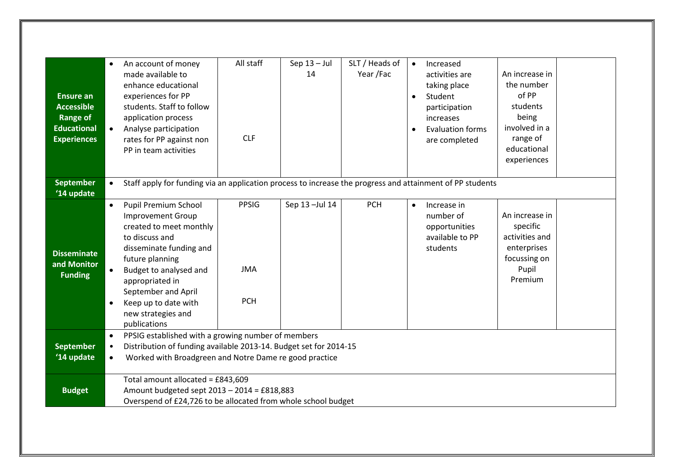| <b>Ensure an</b><br><b>Accessible</b><br><b>Range of</b><br><b>Educational</b><br><b>Experiences</b> | An account of money<br>made available to<br>enhance educational<br>experiences for PP<br>students. Staff to follow<br>application process<br>Analyse participation<br>rates for PP against non<br>PP in team activities                                                                    | All staff<br><b>CLF</b>                  | Sep $13 -$ Jul<br>14 | SLT / Heads of<br>Year /Fac | Increased<br>$\bullet$<br>activities are<br>taking place<br>Student<br>$\bullet$<br>participation<br>increases<br><b>Evaluation forms</b><br>$\bullet$<br>are completed | An increase in<br>the number<br>of PP<br>students<br>being<br>involved in a<br>range of<br>educational<br>experiences |  |
|------------------------------------------------------------------------------------------------------|--------------------------------------------------------------------------------------------------------------------------------------------------------------------------------------------------------------------------------------------------------------------------------------------|------------------------------------------|----------------------|-----------------------------|-------------------------------------------------------------------------------------------------------------------------------------------------------------------------|-----------------------------------------------------------------------------------------------------------------------|--|
| <b>September</b><br>'14 update                                                                       | Staff apply for funding via an application process to increase the progress and attainment of PP students<br>$\bullet$                                                                                                                                                                     |                                          |                      |                             |                                                                                                                                                                         |                                                                                                                       |  |
| <b>Disseminate</b><br>and Monitor<br><b>Funding</b>                                                  | Pupil Premium School<br>$\bullet$<br><b>Improvement Group</b><br>created to meet monthly<br>to discuss and<br>disseminate funding and<br>future planning<br>Budget to analysed and<br>appropriated in<br>September and April<br>Keep up to date with<br>new strategies and<br>publications | <b>PPSIG</b><br><b>JMA</b><br><b>PCH</b> | Sep 13-Jul 14        | <b>PCH</b>                  | Increase in<br>$\bullet$<br>number of<br>opportunities<br>available to PP<br>students                                                                                   | An increase in<br>specific<br>activities and<br>enterprises<br>focussing on<br>Pupil<br>Premium                       |  |
| <b>September</b><br>'14 update                                                                       | PPSIG established with a growing number of members<br>Distribution of funding available 2013-14. Budget set for 2014-15<br>$\bullet$<br>Worked with Broadgreen and Notre Dame re good practice<br>$\bullet$                                                                                |                                          |                      |                             |                                                                                                                                                                         |                                                                                                                       |  |
| <b>Budget</b>                                                                                        | Total amount allocated = £843,609<br>Amount budgeted sept 2013 - 2014 = £818,883<br>Overspend of £24,726 to be allocated from whole school budget                                                                                                                                          |                                          |                      |                             |                                                                                                                                                                         |                                                                                                                       |  |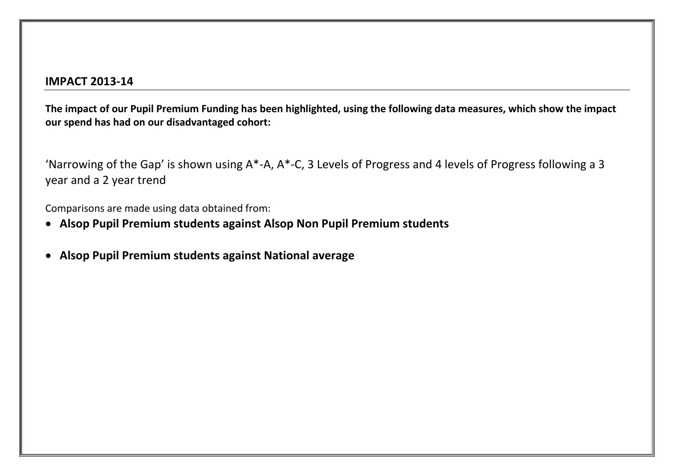# **IMPACT 2013-14**

**The impact of our Pupil Premium Funding has been highlighted, using the following data measures, which show the impact our spend has had on our disadvantaged cohort:**

'Narrowing of the Gap' is shown using A\*-A, A\*-C, 3 Levels of Progress and 4 levels of Progress following a 3 year and a 2 year trend

Comparisons are made using data obtained from:

- **Alsop Pupil Premium students against Alsop Non Pupil Premium students**
- **Alsop Pupil Premium students against National average**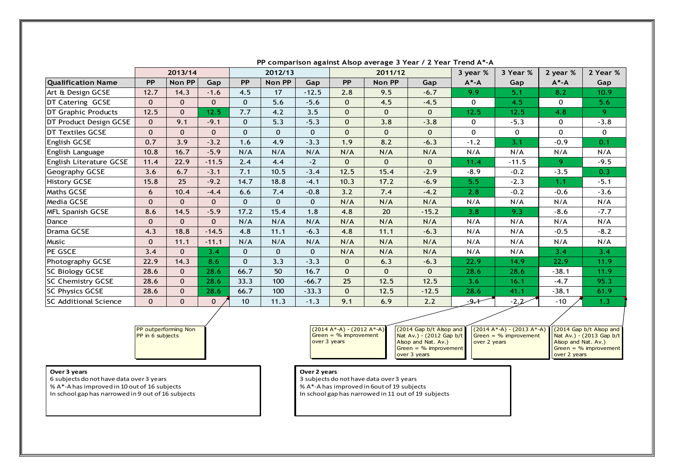|                              |              | 2013/14  |                |              | 2012/13 |              |              | 2011/12  |              | 3 year %  | 3 Year % | 2 year %     | 2 Year %    |
|------------------------------|--------------|----------|----------------|--------------|---------|--------------|--------------|----------|--------------|-----------|----------|--------------|-------------|
| <b>Qualification Name</b>    | <b>PP</b>    | Non PP   | Gap            | <b>PP</b>    | Non PP  | <b>Gap</b>   | <b>PP</b>    | Non PP   | Gap          | $A^* - A$ | Gap      | $A^* - A$    | Gap         |
| Art & Design GCSE            | 12.7         | 14.3     | $-1.6$         | 4.5          | 17      | $-12.5$      | 2.8          | 9.5      | $-6.7$       | 9.9       | 5.1      | 8.2          | 10.9        |
| DT Catering GCSE             | $\Omega$     | $\Omega$ | $\Omega$       | $\Omega$     | 5.6     | $-5.6$       | $\Omega$     | 4.5      | $-4.5$       | $\Omega$  | 4.5      | $\mathbf 0$  | 5.6         |
| DT Graphic Products          | 12.5         | $\Omega$ | 12.5           | 7.7          | 4.2     | 3.5          | $\mathbf{0}$ | $\Omega$ | $\mathbf{0}$ | 12.5      | 12.5     | 4.8          | 9           |
| DT Product Design GCSE       | $\Omega$     | 9.1      | $-9.1$         | $\Omega$     | 5.3     | $-5.3$       | $\Omega$     | 3.8      | $-3.8$       | $\Omega$  | $-5.3$   | $\mathbf 0$  | $-3.8$      |
| <b>DT Textiles GCSE</b>      | $\Omega$     | $\Omega$ | $\Omega$       | $\Omega$     | 0       | $\Omega$     | $\Omega$     | $\Omega$ | $\Omega$     | $\Omega$  | 0        | $\mathbf{0}$ | $\mathbf 0$ |
| English GCSE                 | 0.7          | 3.9      | $-3.2$         | 1.6          | 4.9     | $-3.3$       | 1.9          | 8.2      | $-6.3$       | $-1.2$    | 3.1      | $-0.9$       | 0.1         |
| English Language             | 10.8         | 16.7     | $-5.9$         | N/A          | N/A     | N/A          | N/A          | N/A      | N/A          | N/A       | N/A      | N/A          | N/A         |
| English Literature GCSE      | 11.4         | 22.9     | $-11.5$        | 2.4          | 4.4     | $-2$         | $\Omega$     | $\Omega$ | $\Omega$     | 11.4      | $-11.5$  | 9.           | $-9.5$      |
| Geography GCSE               | 3.6          | 6.7      | $-3.1$         | 7.1          | 10.5    | $-3.4$       | 12.5         | 15.4     | $-2.9$       | $-8.9$    | $-0.2$   | $-3.5$       | 0.3         |
| <b>History GCSE</b>          | 15.8         | 25       | $-9.2$         | 14.7         | 18.8    | $-4.1$       | 10.3         | 17.2     | $-6.9$       | 5.5       | $-2.3$   | 1.1          | $-5.1$      |
| Maths GCSE                   | 6            | 10.4     | $-4.4$         | 6.6          | 7.4     | $-0.8$       | 3.2          | 7.4      | $-4.2$       | 2.8       | $-0.2$   | $-0.6$       | $-3.6$      |
| Media GCSE                   | $\Omega$     | $\Omega$ | $\Omega$       | $\Omega$     | 0       | $\mathbf{0}$ | N/A          | N/A      | N/A          | N/A       | N/A      | N/A          | N/A         |
| <b>MFL Spanish GCSE</b>      | 8.6          | 14.5     | $-5.9$         | 17.2         | 15.4    | 1.8          | 4.8          | 20       | $-15.2$      | 3.8       | 9.3      | $-8.6$       | $-7.7$      |
| Dance                        | $\Omega$     | $\Omega$ | $\overline{0}$ | N/A          | N/A     | N/A          | N/A          | N/A      | N/A          | N/A       | N/A      | N/A          | N/A         |
| Drama GCSE                   | 4.3          | 18.8     | $-14.5$        | 4.8          | 11.1    | $-6.3$       | 4.8          | 11.1     | $-6.3$       | N/A       | N/A      | $-0.5$       | $-8.2$      |
| Music                        | $\mathbf{0}$ | 11.1     | $-11.1$        | N/A          | N/A     | N/A          | N/A          | N/A      | N/A          | N/A       | N/A      | N/A          | N/A         |
| PE GSCE                      | 3.4          | $\Omega$ | 3.4            | $\mathbf{0}$ | 0       | $\mathbf{0}$ | N/A          | N/A      | N/A          | N/A       | N/A      | 3.4          | 3.4         |
| Photography GCSE             | 22.9         | 14.3     | 8.6            | $\Omega$     | 3.3     | $-3.3$       | 0            | 6.3      | $-6.3$       | 22.9      | 14.9     | 22.9         | 11.9        |
| <b>SC Biology GCSE</b>       | 28.6         | $\Omega$ | 28.6           | 66.7         | 50      | 16.7         | $\mathbf{0}$ | $\Omega$ | $\Omega$     | 28.6      | 28.6     | $-38.1$      | 11.9        |
| <b>SC Chemistry GCSE</b>     | 28.6         | $\Omega$ | 28.6           | 33.3         | 100     | $-66.7$      | 25           | 12.5     | 12.5         | 3.6       | 16.1     | $-4.7$       | 95.3        |
| <b>SC Physics GCSE</b>       | 28.6         | $\Omega$ | 28.6           | 66.7         | 100     | $-33.3$      | $\Omega$     | 12.5     | $-12.5$      | 28.6      | 41.1     | $-38.1$      | 61.9        |
| <b>SC Additional Science</b> | $\Omega$     | $\Omega$ | 0              | 10           | 11.3    | $-1.3$       | 9.1          | 6.9      | 2.2          | -9.7      | $-2,2$   | $-10$        | 1.3         |

**PP comparison against Alsop average 3 Year / 2 Year Trend A\*-A**

PP outperforming Non PP in 6 subjects

| $(2014 A*-A) - (2012 A*-A)$ |                                              |               |                      | $\left  \frac{2014}{2014} \right $ Cap b/t Alsop and $\left  \frac{2014}{2014} \right $ (2013 A*-A) $\left  \frac{2014}{2014} \right $ Cap b/t Alsop and |
|-----------------------------|----------------------------------------------|---------------|----------------------|----------------------------------------------------------------------------------------------------------------------------------------------------------|
| Green = $%$ improvement     | $Nat Av.$ ) - (2012 Gap b/t                  |               | $Green = % improper$ | $Nat Av.$ ) - (2013 Gap b/t                                                                                                                              |
| over 3 years                | Alsop and Nat. Av.)                          | lover 2 years |                      | Alsop and Nat. Av.)                                                                                                                                      |
|                             | $\sqrt{\frac{1}{100}}$ Green = % improvement |               |                      | $\sqrt{G}$ Green = % improvement                                                                                                                         |
|                             | lover 3 years                                |               |                      | over 2 years                                                                                                                                             |

#### **Over 3 years**

6 subjects do not have data over 3 years % A\*-A has improved in 10 out of 16 subjects

In school gap has narrowed in 9 out of 16 subjects

## **Over 2 years**

3 subjects do not have data over 3 years

% A\*-A has improved in 6out of 19 subjects

In school gap has narrowed in 11 out of 19 subjects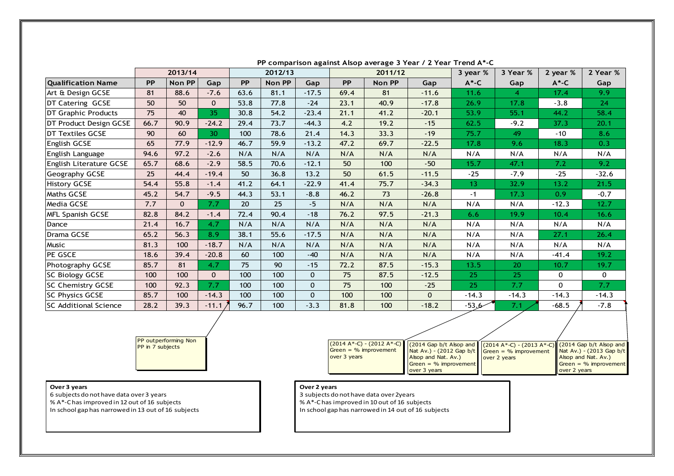|                               |           | 2013/14       |                  |           | 2012/13       |              | 2011/12   |        |              | 3 year %        | 3 Year % | 2 year % | 2 Year %         |
|-------------------------------|-----------|---------------|------------------|-----------|---------------|--------------|-----------|--------|--------------|-----------------|----------|----------|------------------|
| <b>Qualification Name</b>     | <b>PP</b> | <b>Non PP</b> | Gap              | <b>PP</b> | <b>Non PP</b> | Gap          | <b>PP</b> | Non PP | Gap          | $A^*$ -C        | Gap      | $A^*$ -C | Gap              |
| Art & Design GCSE             | 81        | 88.6          | $-7.6$           | 63.6      | 81.1          | $-17.5$      | 69.4      | 81     | $-11.6$      | 11.6            | 4        | 17.4     | 9.9 <sub>•</sub> |
| DT Catering GCSE              | 50        | 50            | $\Omega$         | 53.8      | 77.8          | $-24$        | 23.1      | 40.9   | $-17.8$      | 26.9            | 17.8     | $-3.8$   | 24               |
| DT Graphic Products           | 75        | 40            | 35               | 30.8      | 54.2          | $-23.4$      | 21.1      | 41.2   | $-20.1$      | 53.9            | 55.1     | 44.2     | 58.4             |
| DT Product Design GCSE        | 66.7      | 90.9          | $-24.2$          | 29.4      | 73.7          | $-44.3$      | 4.2       | 19.2   | $-15$        | 62.5            | $-9.2$   | 37.3     | 20.1             |
| DT Textiles GCSE              | 90        | 60            | 30               | 100       | 78.6          | 21.4         | 14.3      | 33.3   | $-19$        | 75.7            | 49       | $-10$    | 8.6              |
| English GCSE                  | 65        | 77.9          | $-12.9$          | 46.7      | 59.9          | $-13.2$      | 47.2      | 69.7   | $-22.5$      | 17.8            | 9.6      | 18.3     | 0.3              |
| English Language              | 94.6      | 97.2          | $-2.6$           | N/A       | N/A           | N/A          | N/A       | N/A    | N/A          | N/A             | N/A      | N/A      | N/A              |
| English Literature GCSE       | 65.7      | 68.6          | $-2.9$           | 58.5      | 70.6          | $-12.1$      | 50        | 100    | $-50$        | 15.7            | 47.1     | 7.2      | 9.2              |
| Geography GCSE                | 25        | 44.4          | $-19.4$          | 50        | 36.8          | 13.2         | 50        | 61.5   | $-11.5$      | $-25$           | $-7.9$   | $-25$    | $-32.6$          |
| <b>History GCSE</b>           | 54.4      | 55.8          | $-1.4$           | 41.2      | 64.1          | $-22.9$      | 41.4      | 75.7   | $-34.3$      | 13 <sup>°</sup> | 32.9     | 13.2     | 21.5             |
| Maths GCSE                    | 45.2      | 54.7          | $-9.5$           | 44.3      | 53.1          | $-8.8$       | 46.2      | 73     | $-26.8$      | $-1$            | 17.3     | 0.9      | $-0.7$           |
| Media GCSE                    | 7.7       | $\Omega$      | 7.7              | 20        | 25            | $-5$         | N/A       | N/A    | N/A          | N/A             | N/A      | $-12.3$  | 12.7             |
| <b>MFL Spanish GCSE</b>       | 82.8      | 84.2          | $-1.4$           | 72.4      | 90.4          | $-18$        | 76.2      | 97.5   | $-21.3$      | 6.6             | 19.9     | 10.4     | 16.6             |
| Dance                         | 21.4      | 16.7          | 4.7              | N/A       | N/A           | N/A          | N/A       | N/A    | N/A          | N/A             | N/A      | N/A      | N/A              |
| Drama GCSE                    | 65.2      | 56.3          | 8.9 <sub>1</sub> | 38.1      | 55.6          | $-17.5$      | N/A       | N/A    | N/A          | N/A             | N/A      | 27.1     | 26.4             |
| Music                         | 81.3      | 100           | $-18.7$          | N/A       | N/A           | N/A          | N/A       | N/A    | N/A          | N/A             | N/A      | N/A      | N/A              |
| PE GSCE                       | 18.6      | 39.4          | $-20.8$          | 60        | 100           | $-40$        | N/A       | N/A    | N/A          | N/A             | N/A      | $-41.4$  | 19.2             |
| Photography GCSE              | 85.7      | 81            | 4.7              | 75        | 90            | $-15$        | 72.2      | 87.5   | $-15.3$      | 13.5            | 20       | 10.7     | 19.7             |
| <b>SC Biology GCSE</b>        | 100       | 100           | $\Omega$         | 100       | 100           | $\mathbf 0$  | 75        | 87.5   | $-12.5$      | 25              | 25       | 0        | $\mathbf 0$      |
| <b>SC Chemistry GCSE</b>      | 100       | 92.3          | 7.7              | 100       | 100           | $\mathbf{0}$ | 75        | 100    | $-25$        | 25              | 7.7      | 0        | 7.7              |
| <b>SC Physics GCSE</b>        | 85.7      | 100           | $-14.3$          | 100       | 100           | $\mathbf{0}$ | 100       | 100    | $\mathbf{0}$ | $-14.3$         | $-14.3$  | $-14.3$  | $-14.3$          |
| <b>ISC Additional Science</b> | 28.2      | 39.3          | $-11.1$          | 96.7      | 100           | $-3.3$       | 81.8      | 100    | $-18.2$      | $-53,6$         | 7.1      | $-68.5$  | $-7.8$           |

**PP comparison against Alsop average 3 Year / 2 Year Trend A\*-C**

PP outperforming Non PP in 7 subjects

| $\left  \frac{(2014 \text{ A}^{*}-C)-(2012 \text{ A}^{*}-C)}{[(2014 \text{ Gap b}/t \text{Alsop and } ]}\right $ $\left  \frac{(2014 \text{ A}^{*}-C)-(2013 \text{ A}^{*}-C)\right $ $\left  \frac{(2014 \text{ Gap b}/t \text{Alsop and } t)}{[(2014 \text{ Jan } t)(100 \text{ Pa})]^2}\right $ |                                                                                                                                                                                                                                                                                                                                                                                                                           |                                                                         |                                            |
|---------------------------------------------------------------------------------------------------------------------------------------------------------------------------------------------------------------------------------------------------------------------------------------------------|---------------------------------------------------------------------------------------------------------------------------------------------------------------------------------------------------------------------------------------------------------------------------------------------------------------------------------------------------------------------------------------------------------------------------|-------------------------------------------------------------------------|--------------------------------------------|
| $Green = % improvement$                                                                                                                                                                                                                                                                           |                                                                                                                                                                                                                                                                                                                                                                                                                           | Nat Av.) - (2012 Gap b/t Green = % improvement Nat Av.) - (2013 Gap b/t |                                            |
| over 3 years                                                                                                                                                                                                                                                                                      | Alsop and Nat. Av.)                                                                                                                                                                                                                                                                                                                                                                                                       | lover 2 years                                                           | Alsop and Nat. Av.)                        |
|                                                                                                                                                                                                                                                                                                   | $\sqrt{\frac{1}{1-\frac{1}{1-\frac{1}{1-\frac{1}{1-\frac{1}{1-\frac{1}{1-\frac{1}{1-\frac{1}{1-\frac{1}{1-\frac{1}{1-\frac{1}{1-\frac{1}{1-\frac{1}{1-\frac{1}{1-\frac{1}{1-\frac{1}{1-\frac{1}{1-\frac{1}{1-\frac{1}{1-\frac{1}{1-\frac{1}{1-\frac{1}{1-\frac{1}{1-\frac{1}{1-\frac{1}{1-\frac{1}{1-\frac{1}{1-\frac{1}{1-\frac{1}{1-\frac{1}{1-\frac{1}{1-\frac{1}{1-\frac{1}{1-\frac{1}{1-\frac{1}{1-\frac{1}{1-\frac$ |                                                                         | $\sqrt{\frac{1}{1}}$ Green = % improvement |
|                                                                                                                                                                                                                                                                                                   | over 3 years                                                                                                                                                                                                                                                                                                                                                                                                              |                                                                         | lover 2 years                              |

## **Over 3 years**

6 subjects do not have data over 3 years % A\*-C has improved in 12 out of 16 subjects In school gap has narrowed in 13 out of 16 subjects

## **Over 2 years**

3 subjects do not have data over 2years

% A\*-C has improved in 10 out of 16 subjects

In school gap has narrowed in 14 out of 16 subjects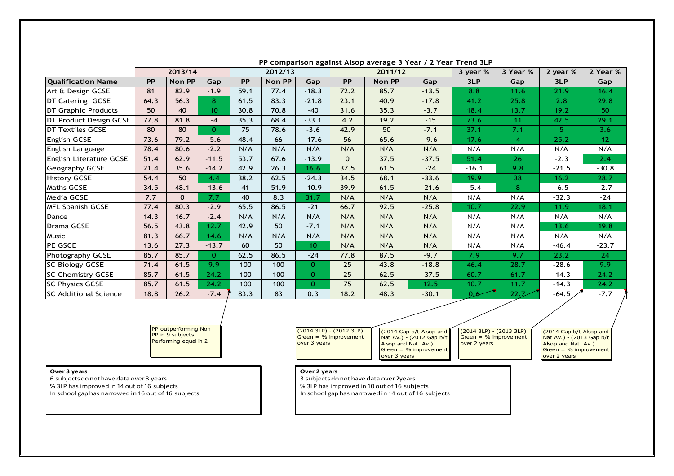|                              |           | 2013/14  |                 | 2011/12<br>2012/13 |        |                 |           | 3 year % | 3 Year % | 2 year % | 2 Year %       |         |                  |
|------------------------------|-----------|----------|-----------------|--------------------|--------|-----------------|-----------|----------|----------|----------|----------------|---------|------------------|
| <b>Qualification Name</b>    | <b>PP</b> | Non PP   | Gap             | <b>PP</b>          | Non PP | <b>Gap</b>      | <b>PP</b> | Non PP   | Gap      | 3LP      | Gap            | 3LP     | Gap              |
| Art & Design GCSE            | 81        | 82.9     | $-1.9$          | 59.1               | 77.4   | $-18.3$         | 72.2      | 85.7     | $-13.5$  | 8.8      | 11.6           | 21.9    | 16.4             |
| DT Catering GCSE             | 64.3      | 56.3     | 8               | 61.5               | 83.3   | $-21.8$         | 23.1      | 40.9     | $-17.8$  | 41.2     | 25.8           | 2.8     | 29.8             |
| <b>DT Graphic Products</b>   | 50        | 40       | 10 <sup>°</sup> | 30.8               | 70.8   | $-40$           | 31.6      | 35.3     | $-3.7$   | 18.4     | 13.7           | 19.2    | 50               |
| DT Product Design GCSE       | 77.8      | 81.8     | $-4$            | 35.3               | 68.4   | $-33.1$         | 4.2       | 19.2     | $-15$    | 73.6     | 11             | 42.5    | 29.1             |
| <b>DT Textiles GCSE</b>      | 80        | 80       | $\Omega$        | 75                 | 78.6   | $-3.6$          | 42.9      | 50       | $-7.1$   | 37.1     | 7.1            | 5.      | 3.6              |
| English GCSE                 | 73.6      | 79.2     | $-5.6$          | 48.4               | 66     | $-17.6$         | 56        | 65.6     | $-9.6$   | 17.6     | $\overline{4}$ | 25.2    | 12               |
| English Language             | 78.4      | 80.6     | $-2.2$          | N/A                | N/A    | N/A             | N/A       | N/A      | N/A      | N/A      | N/A            | N/A     | N/A              |
| English Literature GCSE      | 51.4      | 62.9     | $-11.5$         | 53.7               | 67.6   | $-13.9$         | $\Omega$  | 37.5     | $-37.5$  | 51.4     | 26             | $-2.3$  | 2.4              |
| Geography GCSE               | 21.4      | 35.6     | $-14.2$         | 42.9               | 26.3   | 16.6            | 37.5      | 61.5     | $-24$    | $-16.1$  | 9.8            | $-21.5$ | $-30.8$          |
| History GCSE                 | 54.4      | 50       | 4.4             | 38.2               | 62.5   | $-24.3$         | 34.5      | 68.1     | $-33.6$  | 19.9     | 38             | 16.2    | 28.7             |
| <b>Maths GCSE</b>            | 34.5      | 48.1     | $-13.6$         | 41                 | 51.9   | $-10.9$         | 39.9      | 61.5     | $-21.6$  | $-5.4$   | 8              | $-6.5$  | $-2.7$           |
| Media GCSE                   | 7.7       | $\Omega$ | 7.7             | 40                 | 8.3    | 31.7            | N/A       | N/A      | N/A      | N/A      | N/A            | $-32.3$ | $-24$            |
| <b>MFL Spanish GCSE</b>      | 77.4      | 80.3     | $-2.9$          | 65.5               | 86.5   | $-21$           | 66.7      | 92.5     | $-25.8$  | 10.7     | 22.9           | 11.9    | 18.1             |
| Dance                        | 14.3      | 16.7     | $-2.4$          | N/A                | N/A    | N/A             | N/A       | N/A      | N/A      | N/A      | N/A            | N/A     | N/A              |
| Drama GCSE                   | 56.5      | 43.8     | 12.7            | 42.9               | 50     | $-7.1$          | N/A       | N/A      | N/A      | N/A      | N/A            | 13.6    | 19.8             |
| <b>Music</b>                 | 81.3      | 66.7     | 14.6            | N/A                | N/A    | N/A             | N/A       | N/A      | N/A      | N/A      | N/A            | N/A     | N/A              |
| PE GSCE                      | 13.6      | 27.3     | $-13.7$         | 60                 | 50     | 10 <sup>°</sup> | N/A       | N/A      | N/A      | N/A      | N/A            | $-46.4$ | $-23.7$          |
| Photography GCSE             | 85.7      | 85.7     | $\Omega$        | 62.5               | 86.5   | $-24$           | 77.8      | 87.5     | $-9.7$   | 7.9      | 9.7            | 23.2    | 24               |
| <b>SC Biology GCSE</b>       | 71.4      | 61.5     | 9.9             | 100                | 100    | $\overline{0}$  | 25        | 43.8     | $-18.8$  | 46.4     | 28.7           | $-28.6$ | 9.9 <sub>•</sub> |
| SC Chemistry GCSE            | 85.7      | 61.5     | 24.2            | 100                | 100    | $\overline{0}$  | 25        | 62.5     | $-37.5$  | 60.7     | 61.7           | $-14.3$ | 24.2             |
| <b>SC Physics GCSE</b>       | 85.7      | 61.5     | 24.2            | 100                | 100    | $\overline{0}$  | 75        | 62.5     | 12.5     | 10.7     | 11.7           | $-14.3$ | 24.2             |
| <b>SC Additional Science</b> | 18.8      | 26.2     | $-7.4$          | 83.3               | 83     | 0.3             | 18.2      | 48.3     | $-30.1$  | $0.6 -$  | 22.7           | $-64.5$ | $-7.7$           |

**PP comparison against Alsop average 3 Year / 2 Year Trend 3LP**

PP outperforming Non PP in 9 subjects. Performing equal in 2

(2014 3LP) - (2012 3LP)  $Green = %$  improvement over 3 years (2014 Gap b/t Alsop and Nat Av.) - (2012 Gap b/t Alsop and Nat. Av.)  $Green = % improvement$ over 3 years

(2014 3LP) - (2013 3LP)  $Green = %$  improvement over 2 years

(2014 Gap b/t Alsop and Nat Av.) - (2013 Gap b/t Alsop and Nat. Av.)  $Green = % import$ over 2 years

#### **Over 3 years**

6 subjects do not have data over 3 years % 3LP has improved in 14 out of 16 subjects In school gap has narrowed in 16 out of 16 subjects

## **Over 2 years**

3 subjects do not have data over 2years

% 3LP has improved in 10 out of 16 subjects

In school gap has narrowed in 14 out of 16 subjects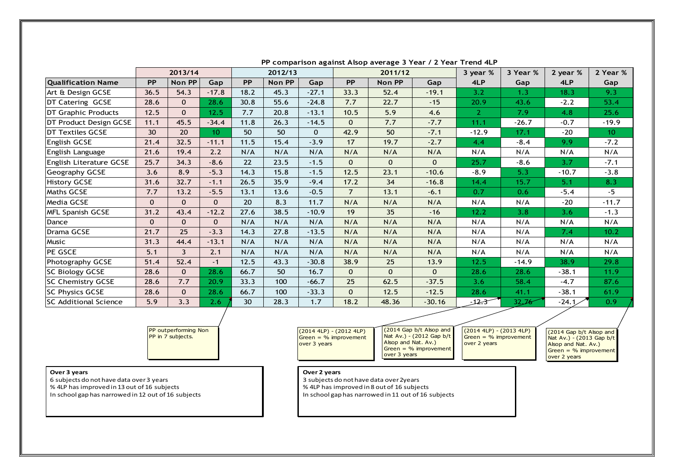|                              |              | The companison against Alsop average 5 Team 2 Team Trend Her<br>2013/14<br>2012/13 |              |           |               |              | 2011/12        |          | 3 year %     | 3 Year %       | 2 year % | 2 Year % |                 |
|------------------------------|--------------|------------------------------------------------------------------------------------|--------------|-----------|---------------|--------------|----------------|----------|--------------|----------------|----------|----------|-----------------|
| <b>Qualification Name</b>    | <b>PP</b>    | Non PP                                                                             | Gap          | <b>PP</b> | <b>Non PP</b> | <b>Gap</b>   | <b>PP</b>      | Non PP   | Gap          | 4LP            | Gap      | 4LP      | Gap             |
| Art & Design GCSE            | 36.5         | 54.3                                                                               | $-17.8$      | 18.2      | 45.3          | $-27.1$      | 33.3           | 52.4     | $-19.1$      | 3.2            | 1.3      | 18.3     | 9.3             |
| DT Catering GCSE             | 28.6         | $\Omega$                                                                           | 28.6         | 30.8      | 55.6          | $-24.8$      | 7.7            | 22.7     | $-15$        | 20.9           | 43.6     | $-2.2$   | 53.4            |
| DT Graphic Products          | 12.5         | $\mathbf{0}$                                                                       | 12.5         | 7.7       | 20.8          | $-13.1$      | 10.5           | 5.9      | 4.6          | $\overline{2}$ | 7.9      | 4.8      | 25.6            |
| DT Product Design GCSE       | 11.1         | 45.5                                                                               | $-34.4$      | 11.8      | 26.3          | $-14.5$      | $\Omega$       | 7.7      | $-7.7$       | 11.1           | $-26.7$  | $-0.7$   | $-19.9$         |
| <b>IDT Textiles GCSE</b>     | 30           | 20                                                                                 | 10           | 50        | 50            | $\mathbf{0}$ | 42.9           | 50       | $-7.1$       | $-12.9$        | 17.1     | $-20$    | 10 <sup>°</sup> |
| English GCSE                 | 21.4         | 32.5                                                                               | $-11.1$      | 11.5      | 15.4          | $-3.9$       | 17             | 19.7     | $-2.7$       | 4.4            | $-8.4$   | 9.9      | $-7.2$          |
| English Language             | 21.6         | 19.4                                                                               | 2.2          | N/A       | N/A           | N/A          | N/A            | N/A      | N/A          | N/A            | N/A      | N/A      | N/A             |
| English Literature GCSE      | 25.7         | 34.3                                                                               | $-8.6$       | 22        | 23.5          | $-1.5$       | $\Omega$       | $\Omega$ | $\Omega$     | 25.7           | $-8.6$   | 3.7      | $-7.1$          |
| <b>Geography GCSE</b>        | 3.6          | 8.9                                                                                | $-5.3$       | 14.3      | 15.8          | $-1.5$       | 12.5           | 23.1     | $-10.6$      | $-8.9$         | 5.3      | $-10.7$  | $-3.8$          |
| History GCSE                 | 31.6         | 32.7                                                                               | $-1.1$       | 26.5      | 35.9          | $-9.4$       | 17.2           | 34       | $-16.8$      | 14.4           | 15.7     | 5.1      | 8.3             |
| <b>Maths GCSE</b>            | 7.7          | 13.2                                                                               | $-5.5$       | 13.1      | 13.6          | $-0.5$       | $\overline{7}$ | 13.1     | $-6.1$       | 0.7            | 0.6      | $-5.4$   | $-5$            |
| Media GCSE                   | $\mathbf{0}$ | $\Omega$                                                                           | $\Omega$     | 20        | 8.3           | 11.7         | N/A            | N/A      | N/A          | N/A            | N/A      | $-20$    | $-11.7$         |
| MFL Spanish GCSE             | 31.2         | 43.4                                                                               | $-12.2$      | 27.6      | 38.5          | $-10.9$      | 19             | 35       | $-16$        | 12.2           | 3.8      | 3.6      | $-1.3$          |
| Dance                        | $\mathbf{0}$ | $\mathbf{0}$                                                                       | $\mathbf{0}$ | N/A       | N/A           | N/A          | N/A            | N/A      | N/A          | N/A            | N/A      | N/A      | N/A             |
| Drama GCSE                   | 21.7         | 25                                                                                 | $-3.3$       | 14.3      | 27.8          | $-13.5$      | N/A            | N/A      | N/A          | N/A            | N/A      | 7.4      | 10.2            |
| Music                        | 31.3         | 44.4                                                                               | $-13.1$      | N/A       | N/A           | N/A          | N/A            | N/A      | N/A          | N/A            | N/A      | N/A      | N/A             |
| PE GSCE                      | 5.1          | 3                                                                                  | 2.1          | N/A       | N/A           | N/A          | N/A            | N/A      | N/A          | N/A            | N/A      | N/A      | N/A             |
| Photography GCSE             | 51.4         | 52.4                                                                               | $-1$         | 12.5      | 43.3          | $-30.8$      | 38.9           | 25       | 13.9         | 12.5           | $-14.9$  | 38.9     | 29.8            |
| SC Biology GCSE              | 28.6         | $\Omega$                                                                           | 28.6         | 66.7      | 50            | 16.7         | $\Omega$       | $\Omega$ | $\mathbf{0}$ | 28.6           | 28.6     | $-38.1$  | 11.9            |
| SC Chemistry GCSE            | 28.6         | 7.7                                                                                | 20.9         | 33.3      | 100           | $-66.7$      | 25             | 62.5     | $-37.5$      | 3.6            | 58.4     | $-4.7$   | 87.6            |
| <b>SC Physics GCSE</b>       | 28.6         | $\Omega$                                                                           | 28.6         | 66.7      | 100           | $-33.3$      | $\Omega$       | 12.5     | $-12.5$      | 28.6           | 41.1     | $-38.1$  | 61.9            |
| <b>SC Additional Science</b> | 5.9          | 3.3                                                                                | 2.6          | 30        | 28.3          | 1.7          | 18.2           | 48.36    | $-30.16$     | كيبيتكمتر      | 32,76    | $-24.1$  | 0.9             |

**PP comparison against Alsop average 3 Year / 2 Year Trend 4LP**

PP outperforming Non PP in 7 subjects.

(2014 4LP) - (2012 4LP)  $\overline{\text{Green}} = \%$  improvement over 3 years (2014 Gap b/t Alsop and Nat Av.) - (2012 Gap b/t Alsop and Nat. Av.) Green = % improvement over 3 years

(2014 4LP) - (2013 4LP) Green = % improvement over 2 years

(2014 Gap b/t Alsop and Nat Av.) - (2013 Gap b/t Alsop and Nat. Av.)  $Green = % improvement$ over 2 years

#### **Over 3 years**

6 subjects do not have data over 3 years % 4LP has improved in 13 out of 16 subjects In school gap has narrowed in 12 out of 16 subjects

## **Over 2 years**

3 subjects do not have data over 2years

% 4LP has improved in 8 out of 16 subjects

In school gap has narrowed in 11 out of 16 subjects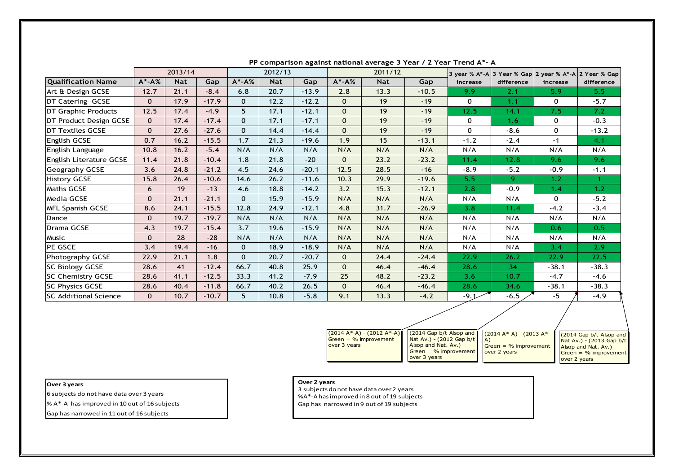|                            |              | 2013/14    |         |             | 2012/13    |         | 2011/12     |            |         |          |            | 3 year % A*-A 3 Year % Gap 2 year % A*-A 2 Year % Gap |            |
|----------------------------|--------------|------------|---------|-------------|------------|---------|-------------|------------|---------|----------|------------|-------------------------------------------------------|------------|
| <b>Qualification Name</b>  | <b>A*-A%</b> | <b>Nat</b> | Gap     | $A^* - A\%$ | <b>Nat</b> | Gap     | $A^* - A$ % | <b>Nat</b> | Gap     | increase | difference | increase                                              | difference |
| Art & Design GCSE          | 12.7         | 21.1       | $-8.4$  | 6.8         | 20.7       | $-13.9$ | 2.8         | 13.3       | $-10.5$ | 9.9      | 2.1        | 5.9                                                   | 5.5        |
| DT Catering GCSE           | $\Omega$     | 17.9       | $-17.9$ | $\Omega$    | 12.2       | $-12.2$ | $\Omega$    | 19         | $-19$   | 0        | 1.1        | 0                                                     | $-5.7$     |
| <b>DT Graphic Products</b> | 12.5         | 17.4       | $-4.9$  | 5           | 17.1       | $-12.1$ | $\Omega$    | 19         | $-19$   | 12.5     | 14.1       | 7.5                                                   | 7.2        |
| DT Product Design GCSE     | $\Omega$     | 17.4       | $-17.4$ | $\Omega$    | 17.1       | $-17.1$ | $\Omega$    | 19         | $-19$   | 0        | 1.6        | 0                                                     | $-0.3$     |
| <b>DT Textiles GCSE</b>    | $\Omega$     | 27.6       | $-27.6$ | $\Omega$    | 14.4       | $-14.4$ | $\Omega$    | 19         | $-19$   | 0        | $-8.6$     | $\mathbf 0$                                           | $-13.2$    |
| English GCSE               | 0.7          | 16.2       | $-15.5$ | 1.7         | 21.3       | $-19.6$ | 1.9         | 15         | $-13.1$ | $-1.2$   | $-2.4$     | $-1$                                                  | 4.1        |
| English Language           | 10.8         | 16.2       | $-5.4$  | N/A         | N/A        | N/A     | N/A         | N/A        | N/A     | N/A      | N/A        | N/A                                                   | N/A        |
| English Literature GCSE    | 11.4         | 21.8       | $-10.4$ | 1.8         | 21.8       | $-20$   | $\Omega$    | 23.2       | $-23.2$ | 11.4     | 12.8       | 9.6                                                   | 9.6        |
| Geography GCSE             | 3.6          | 24.8       | $-21.2$ | 4.5         | 24.6       | $-20.1$ | 12.5        | 28.5       | $-16$   | $-8.9$   | $-5.2$     | $-0.9$                                                | $-1.1$     |
| History GCSE               | 15.8         | 26.4       | $-10.6$ | 14.6        | 26.2       | $-11.6$ | 10.3        | 29.9       | $-19.6$ | 5.5      | 9.         | 1.2                                                   |            |
| <b>Maths GCSE</b>          | 6            | 19         | $-13$   | 4.6         | 18.8       | $-14.2$ | 3.2         | 15.3       | $-12.1$ | 2.8      | $-0.9$     | 1.4                                                   | 1.2        |
| Media GCSE                 | $\Omega$     | 21.1       | $-21.1$ | $\Omega$    | 15.9       | $-15.9$ | N/A         | N/A        | N/A     | N/A      | N/A        | 0                                                     | $-5.2$     |
| <b>MFL Spanish GCSE</b>    | 8.6          | 24.1       | $-15.5$ | 12.8        | 24.9       | $-12.1$ | 4.8         | 31.7       | $-26.9$ | 3.8      | 11.4       | $-4.2$                                                | $-3.4$     |
| Dance                      | $\Omega$     | 19.7       | $-19.7$ | N/A         | N/A        | N/A     | N/A         | N/A        | N/A     | N/A      | N/A        | N/A                                                   | N/A        |
| Drama GCSE                 | 4.3          | 19.7       | $-15.4$ | 3.7         | 19.6       | $-15.9$ | N/A         | N/A        | N/A     | N/A      | N/A        | 0.6                                                   | 0.5        |
| <b>Music</b>               | $\mathbf{0}$ | 28         | $-28$   | N/A         | N/A        | N/A     | N/A         | N/A        | N/A     | N/A      | N/A        | N/A                                                   | N/A        |
| PE GSCE                    | 3.4          | 19.4       | $-16$   | $\Omega$    | 18.9       | $-18.9$ | N/A         | N/A        | N/A     | N/A      | N/A        | 3.4                                                   | 2.9        |
| Photography GCSE           | 22.9         | 21.1       | 1.8     | $\Omega$    | 20.7       | $-20.7$ | $\Omega$    | 24.4       | $-24.4$ | 22.9     | 26.2       | 22.9                                                  | 22.5       |
| <b>SC Biology GCSE</b>     | 28.6         | 41         | $-12.4$ | 66.7        | 40.8       | 25.9    | $\Omega$    | 46.4       | $-46.4$ | 28.6     | 34         | $-38.1$                                               | $-38.3$    |
| <b>SC Chemistry GCSE</b>   | 28.6         | 41.1       | $-12.5$ | 33.3        | 41.2       | $-7.9$  | 25          | 48.2       | $-23.2$ | 3.6      | 10.7       | $-4.7$                                                | $-4.6$     |
| <b>SC Physics GCSE</b>     | 28.6         | 40.4       | $-11.8$ | 66.7        | 40.2       | 26.5    | $\Omega$    | 46.4       | $-46.4$ | 28.6     | 34.6       | $-38.1$                                               | $-38.3$    |
| ISC Additional Science     | $\mathbf{0}$ | 10.7       | $-10.7$ | 5           | 10.8       | $-5.8$  | 9.1         | 13.3       | $-4.2$  | $-9.1$   | $-6.5$     | $-5$                                                  | $-4.9$     |

**PP comparison against national average 3 Year / 2 Year Trend A\*- A**

|              | 46.4                                                   | $-46.4$                                                                                                               | 28.6         | 34.6                                                                 | $-38.1$ | $-38.3$                                                                                                            |
|--------------|--------------------------------------------------------|-----------------------------------------------------------------------------------------------------------------------|--------------|----------------------------------------------------------------------|---------|--------------------------------------------------------------------------------------------------------------------|
| 9.1          | 13.3                                                   | $-4.2$                                                                                                                | $-9.1$       | $-6.5$                                                               | -5      | $-4.9$                                                                                                             |
| over 3 years | $(2014 A*-A) - (2012 A*-A)$<br>Green = $%$ improvement | (2014 Gap b/t Alsop and<br>Nat Av.) - (2012 Gap b/t<br>Alsop and Nat. Av.)<br>Green = $%$ improvement<br>over 3 years | $\mathbf{A}$ | $(2014 A*-A) - (2013 A*-$<br>Green = $%$ improvement<br>over 2 years |         | (2014 Gap b/t Alsop and<br>Nat Av.) - (2013 Gap b/t<br>Alsop and Nat. Av.)<br>$Green = % improper$<br>over 2 years |

# **Over 3 years**

6 subjects do not have data over 3 years

% A\*-A has improved in 10 out of 16 subjects

Gap has narrowed in 11 out of 16 subjects

## **Over 2 years**

3 subjects do not have data over 2 years

%A\*-A has improved in 8 out of 19 subjects

Gap has narrowed in 9 out of 19 subjects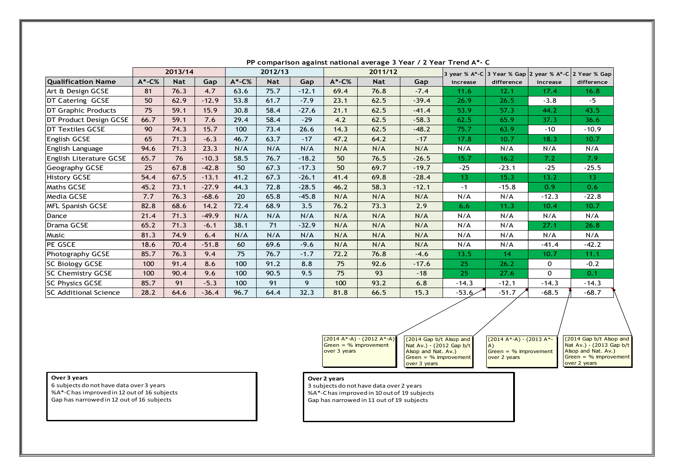|                           |         | 2013/14    |         |           | 2012/13    |         | 2011/12   |            |         |                 | 3 year % A*-C 3 Year % Gap 2 year % A*-C 2 Year % Gap |          |                 |
|---------------------------|---------|------------|---------|-----------|------------|---------|-----------|------------|---------|-----------------|-------------------------------------------------------|----------|-----------------|
| <b>Qualification Name</b> | $A*-C%$ | <b>Nat</b> | Gap     | $A^*$ -C% | <b>Nat</b> | Gap     | $A^*$ -C% | <b>Nat</b> | Gap     | increase        | difference                                            | increase | difference      |
| Art & Design GCSE         | 81      | 76.3       | 4.7     | 63.6      | 75.7       | $-12.1$ | 69.4      | 76.8       | $-7.4$  | 11.6            | 12.1                                                  | 17.4     | 16.8            |
| DT Catering GCSE          | 50      | 62.9       | $-12.9$ | 53.8      | 61.7       | $-7.9$  | 23.1      | 62.5       | $-39.4$ | 26.9            | 26.5                                                  | $-3.8$   | $-5$            |
| DT Graphic Products       | 75      | 59.1       | 15.9    | 30.8      | 58.4       | $-27.6$ | 21.1      | 62.5       | $-41.4$ | 53.9            | 57.3                                                  | 44.2     | 43.5            |
| DT Product Design GCSE    | 66.7    | 59.1       | 7.6     | 29.4      | 58.4       | $-29$   | 4.2       | 62.5       | $-58.3$ | 62.5            | 65.9                                                  | 37.3     | 36.6            |
| <b>DT Textiles GCSE</b>   | 90      | 74.3       | 15.7    | 100       | 73.4       | 26.6    | 14.3      | 62.5       | $-48.2$ | 75.7            | 63.9                                                  | -10      | $-10.9$         |
| English GCSE              | 65      | 71.3       | $-6.3$  | 46.7      | 63.7       | $-17$   | 47.2      | 64.2       | $-17$   | 17.8            | 10.7                                                  | 18.3     | 10.7            |
| English Language          | 94.6    | 71.3       | 23.3    | N/A       | N/A        | N/A     | N/A       | N/A        | N/A     | N/A             | N/A                                                   | N/A      | N/A             |
| English Literature GCSE   | 65.7    | 76         | $-10.3$ | 58.5      | 76.7       | $-18.2$ | 50        | 76.5       | $-26.5$ | 15.7            | 16.2                                                  | 7.2      | 7.9             |
| Geography GCSE            | 25      | 67.8       | $-42.8$ | 50        | 67.3       | $-17.3$ | 50        | 69.7       | $-19.7$ | $-25$           | $-23.1$                                               | $-25$    | $-25.5$         |
| History GCSE              | 54.4    | 67.5       | $-13.1$ | 41.2      | 67.3       | $-26.1$ | 41.4      | 69.8       | $-28.4$ | 13 <sub>1</sub> | 15.3                                                  | 13.2     | 13 <sup>°</sup> |
| <b>Maths GCSE</b>         | 45.2    | 73.1       | $-27.9$ | 44.3      | 72.8       | $-28.5$ | 46.2      | 58.3       | $-12.1$ | $-1$            | $-15.8$                                               | 0.9      | 0.6             |
| Media GCSE                | 7.7     | 76.3       | $-68.6$ | 20        | 65.8       | $-45.8$ | N/A       | N/A        | N/A     | N/A             | N/A                                                   | $-12.3$  | $-22.8$         |
| <b>MFL Spanish GCSE</b>   | 82.8    | 68.6       | 14.2    | 72.4      | 68.9       | 3.5     | 76.2      | 73.3       | 2.9     | 6.6             | 11.3                                                  | 10.4     | 10.7            |
| Dance                     | 21.4    | 71.3       | $-49.9$ | N/A       | N/A        | N/A     | N/A       | N/A        | N/A     | N/A             | N/A                                                   | N/A      | N/A             |
| Drama GCSE                | 65.2    | 71.3       | $-6.1$  | 38.1      | 71         | $-32.9$ | N/A       | N/A        | N/A     | N/A             | N/A                                                   | 27.1     | 26.8            |
| <b>Music</b>              | 81.3    | 74.9       | 6.4     | N/A       | N/A        | N/A     | N/A       | N/A        | N/A     | N/A             | N/A                                                   | N/A      | N/A             |
| PE GSCE                   | 18.6    | 70.4       | $-51.8$ | 60        | 69.6       | $-9.6$  | N/A       | N/A        | N/A     | N/A             | N/A                                                   | $-41.4$  | $-42.2$         |
| Photography GCSE          | 85.7    | 76.3       | 9.4     | 75        | 76.7       | $-1.7$  | 72.2      | 76.8       | $-4.6$  | 13.5            | 14                                                    | 10.7     | 11.1            |
| SC Biology GCSE           | 100     | 91.4       | 8.6     | 100       | 91.2       | 8.8     | 75        | 92.6       | $-17.6$ | 25              | 26.2                                                  | 0        | $-0.2$          |
| <b>SC Chemistry GCSE</b>  | 100     | 90.4       | 9.6     | 100       | 90.5       | 9.5     | 75        | 93         | $-18$   | 25              | 27.6                                                  | 0        | 0.1             |
| <b>SC Physics GCSE</b>    | 85.7    | 91         | $-5.3$  | 100       | 91         | 9       | 100       | 93.2       | 6.8     | $-14.3$         | $-12.1$                                               | $-14.3$  | $-14.3$         |
| ISC Additional Science    | 28.2    | 64.6       | $-36.4$ | 96.7      | 64.4       | 32.3    | 81.8      | 66.5       | 15.3    | $-53.6/$        | $-51.7$                                               | $-68.5$  | $-68.7$         |

**PP comparison against national average 3 Year / 2 Year Trend A\*- C**

#### (2014 A\*-A) - (2012 A\*-A) Green = % improvement over 3 years (2014 Gap b/t Alsop and Nat Av.) - (2012 Gap b/t Alsop and Nat. Av.) Green = % improvement over 3 years (2014 A\*-A) - (2013 A\*- —<br>
—<br>
(2)<br>
(3)<br>
Grov  $\overrightarrow{A}$ <br>Green = % improvement over 2 years (2014 Gap b/t Alsop and Nat Av.) - (2013 Gap b/t Alsop and Nat. Av.) Green = % improvement over 2 years

**Over 3 years**

6 subjects do not have data over 3 years %A\*-C has improved in 12 out of 16 subjects Gap has narrowed in 12 out of 16 subjects

#### **Over 2 years**

3 subjects do not have data over 2 years %A\*-C has improved in 10 out of 19 subjects

Gap has narrowed in 11 out of 19 subjects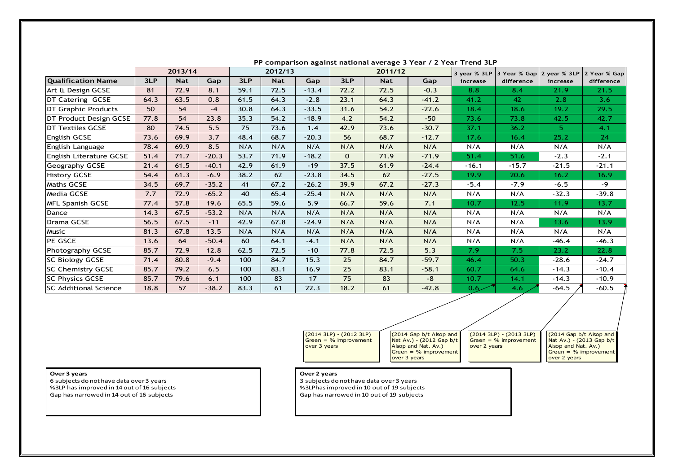|                                | 2013/14<br>2012/13<br>2011/12 |            |            | 3 year % 3LP |            | 3 Year % Gap 2 year % 3LP | 2 Year % Gap |            |         |          |            |          |            |
|--------------------------------|-------------------------------|------------|------------|--------------|------------|---------------------------|--------------|------------|---------|----------|------------|----------|------------|
| <b>Qualification Name</b>      | 3LP                           | <b>Nat</b> | <b>Gap</b> | 3LP          | <b>Nat</b> | Gap                       | 3LP          | <b>Nat</b> | Gap     | increase | difference | increase | difference |
| Art & Design GCSE              | 81                            | 72.9       | 8.1        | 59.1         | 72.5       | $-13.4$                   | 72.2         | 72.5       | $-0.3$  | 8.8      | 8.4        | 21.9     | 21.5       |
| DT Catering GCSE               | 64.3                          | 63.5       | 0.8        | 61.5         | 64.3       | $-2.8$                    | 23.1         | 64.3       | $-41.2$ | 41.2     | 42         | 2.8      | 3.6        |
| DT Graphic Products            | 50                            | 54         | $-4$       | 30.8         | 64.3       | $-33.5$                   | 31.6         | 54.2       | $-22.6$ | 18.4     | 18.6       | 19.2     | 29.5       |
| <b>IDT Product Design GCSE</b> | 77.8                          | 54         | 23.8       | 35.3         | 54.2       | $-18.9$                   | 4.2          | 54.2       | $-50$   | 73.6     | 73.8       | 42.5     | 42.7       |
| <b>IDT Textiles GCSE</b>       | 80                            | 74.5       | 5.5        | 75           | 73.6       | 1.4                       | 42.9         | 73.6       | $-30.7$ | 37.1     | 36.2       | 5.       | 4.1        |
| English GCSE                   | 73.6                          | 69.9       | 3.7        | 48.4         | 68.7       | $-20.3$                   | 56           | 68.7       | $-12.7$ | 17.6     | 16.4       | 25.2     | 24         |
| English Language               | 78.4                          | 69.9       | 8.5        | N/A          | N/A        | N/A                       | N/A          | N/A        | N/A     | N/A      | N/A        | N/A      | N/A        |
| English Literature GCSE        | 51.4                          | 71.7       | $-20.3$    | 53.7         | 71.9       | $-18.2$                   | $\Omega$     | 71.9       | $-71.9$ | 51.4     | 51.6       | $-2.3$   | $-2.1$     |
| Geography GCSE                 | 21.4                          | 61.5       | $-40.1$    | 42.9         | 61.9       | $-19$                     | 37.5         | 61.9       | $-24.4$ | $-16.1$  | $-15.7$    | $-21.5$  | $-21.1$    |
| History GCSE                   | 54.4                          | 61.3       | $-6.9$     | 38.2         | 62         | $-23.8$                   | 34.5         | 62         | $-27.5$ | 19.9     | 20.6       | 16.2     | 16.9       |
| <b>Maths GCSE</b>              | 34.5                          | 69.7       | $-35.2$    | 41           | 67.2       | $-26.2$                   | 39.9         | 67.2       | $-27.3$ | $-5.4$   | $-7.9$     | $-6.5$   | $-9$       |
| Media GCSE                     | 7.7                           | 72.9       | $-65.2$    | 40           | 65.4       | $-25.4$                   | N/A          | N/A        | N/A     | N/A      | N/A        | $-32.3$  | $-39.8$    |
| <b>MFL Spanish GCSE</b>        | 77.4                          | 57.8       | 19.6       | 65.5         | 59.6       | 5.9                       | 66.7         | 59.6       | 7.1     | 10.7     | 12.5       | 11.9     | 13.7       |
| Dance                          | 14.3                          | 67.5       | $-53.2$    | N/A          | N/A        | N/A                       | N/A          | N/A        | N/A     | N/A      | N/A        | N/A      | N/A        |
| Drama GCSE                     | 56.5                          | 67.5       | $-11$      | 42.9         | 67.8       | $-24.9$                   | N/A          | N/A        | N/A     | N/A      | N/A        | 13.6     | 13.9       |
| <b>Music</b>                   | 81.3                          | 67.8       | 13.5       | N/A          | N/A        | N/A                       | N/A          | N/A        | N/A     | N/A      | N/A        | N/A      | N/A        |
| PE GSCE                        | 13.6                          | 64         | $-50.4$    | 60           | 64.1       | $-4.1$                    | N/A          | N/A        | N/A     | N/A      | N/A        | $-46.4$  | $-46.3$    |
| Photography GCSE               | 85.7                          | 72.9       | 12.8       | 62.5         | 72.5       | $-10$                     | 77.8         | 72.5       | 5.3     | 7.9      | 7.5        | 23.2     | 22.8       |
| SC Biology GCSE                | 71.4                          | 80.8       | $-9.4$     | 100          | 84.7       | 15.3                      | 25           | 84.7       | $-59.7$ | 46.4     | 50.3       | $-28.6$  | $-24.7$    |
| <b>SC Chemistry GCSE</b>       | 85.7                          | 79.2       | 6.5        | 100          | 83.1       | 16.9                      | 25           | 83.1       | $-58.1$ | 60.7     | 64.6       | $-14.3$  | $-10.4$    |
| <b>SC Physics GCSE</b>         | 85.7                          | 79.6       | 6.1        | 100          | 83         | 17                        | 75           | 83         | $-8$    | 10.7     | 14.1       | $-14.3$  | $-10.9$    |
| <b>SC Additional Science</b>   | 18.8                          | 57         | $-38.2$    | 83.3         | 61         | 22.3                      | 18.2         | 61         | $-42.8$ | 0.6      | 4.6        | $-64.5$  | $-60.5$    |

**PP comparison against national average 3 Year / 2 Year Trend 3LP**

| (2014 3LP) - (2012 3LP)<br>Green = $%$ improvement<br>over 3 years | $(2014$ Gap b/t Alsop and<br>Nat Av.) - $(2012$ Gap b/t<br>Alsop and Nat. Av.)<br>$Green = % improvement$<br>lover 3 years | (2014 3LP) - (2013 3LP)<br>$Green = % improper$<br>over 2 years | (2014 Gap b/t Alsop and<br>$Nat Av.$ ) - (2013 Gap b/t<br>Alsop and Nat. Av.)<br>$Green = % improvement$<br>over 2 years |
|--------------------------------------------------------------------|----------------------------------------------------------------------------------------------------------------------------|-----------------------------------------------------------------|--------------------------------------------------------------------------------------------------------------------------|
|                                                                    |                                                                                                                            |                                                                 |                                                                                                                          |

#### **Over 3 years**

6 subjects do not have data over 3 years %3LP has improved in 14 out of 16 subjects Gap has narrowed in 14 out of 16 subjects

## **Over 2 years**

3 subjects do not have data over 3 years %3LPhas improved in 10 out of 19 subjects

Gap has narrowed in 10 out of 19 subjects